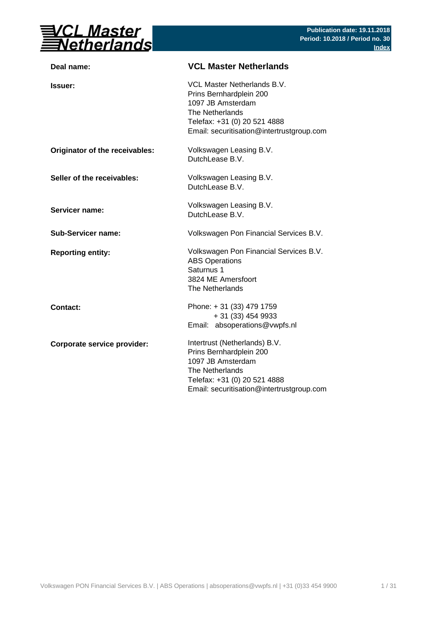

| Deal name:                     | <b>VCL Master Netherlands</b>                                                                                                                                                 |
|--------------------------------|-------------------------------------------------------------------------------------------------------------------------------------------------------------------------------|
| <b>Issuer:</b>                 | VCL Master Netherlands B.V.<br>Prins Bernhardplein 200<br>1097 JB Amsterdam<br>The Netherlands<br>Telefax: +31 (0) 20 521 4888<br>Email: securitisation@intertrustgroup.com   |
| Originator of the receivables: | Volkswagen Leasing B.V.<br>DutchLease B.V.                                                                                                                                    |
| Seller of the receivables:     | Volkswagen Leasing B.V.<br>DutchLease B.V.                                                                                                                                    |
| Servicer name:                 | Volkswagen Leasing B.V.<br>DutchLease B.V.                                                                                                                                    |
| <b>Sub-Servicer name:</b>      | Volkswagen Pon Financial Services B.V.                                                                                                                                        |
| <b>Reporting entity:</b>       | Volkswagen Pon Financial Services B.V.<br><b>ABS Operations</b><br>Saturnus 1<br>3824 ME Amersfoort<br>The Netherlands                                                        |
| <b>Contact:</b>                | Phone: +31 (33) 479 1759<br>+ 31 (33) 454 9933<br>Email: absoperations@vwpfs.nl                                                                                               |
| Corporate service provider:    | Intertrust (Netherlands) B.V.<br>Prins Bernhardplein 200<br>1097 JB Amsterdam<br>The Netherlands<br>Telefax: +31 (0) 20 521 4888<br>Email: securitisation@intertrustgroup.com |
|                                |                                                                                                                                                                               |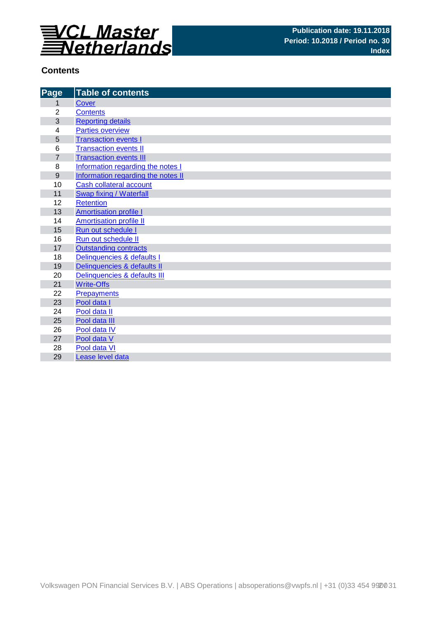

## **Contents**

| Page             | <b>Table of contents</b>           |
|------------------|------------------------------------|
| 1                | <b>Cover</b>                       |
| $\overline{2}$   | <b>Contents</b>                    |
| 3                | <b>Reporting details</b>           |
| 4                | <b>Parties overview</b>            |
| 5                | <b>Transaction events I</b>        |
| 6                | <b>Transaction events II</b>       |
| $\overline{7}$   | <b>Transaction events III</b>      |
| 8                | Information regarding the notes I  |
| $\boldsymbol{9}$ | Information regarding the notes II |
| 10               | Cash collateral account            |
| 11               | Swap fixing / Waterfall            |
| 12               | <b>Retention</b>                   |
| 13               | <b>Amortisation profile I</b>      |
| 14               | <b>Amortisation profile II</b>     |
| 15               | Run out schedule I                 |
| 16               | Run out schedule II                |
| 17               | <b>Outstanding contracts</b>       |
| 18               | Delinquencies & defaults I         |
| 19               | Delinquencies & defaults II        |
| 20               | Delinquencies & defaults III       |
| 21               | <b>Write-Offs</b>                  |
| 22               | <b>Prepayments</b>                 |
| 23               | Pool data I                        |
| 24               | Pool data II                       |
| 25               | Pool data III                      |
| 26               | Pool data IV                       |
| 27               | Pool data V                        |
| 28               | Pool data VI                       |
| 29               | Lease level data                   |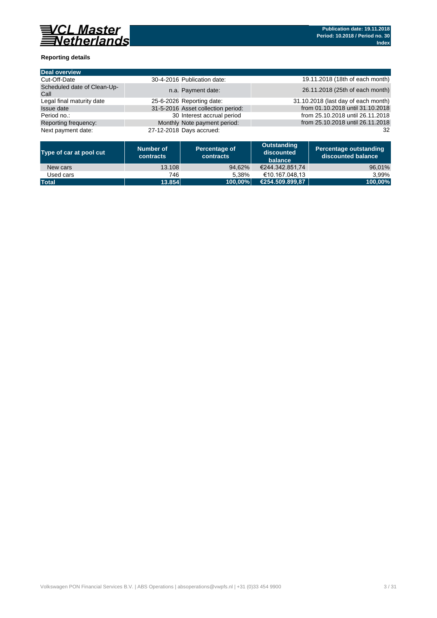

### **Reporting details**

| Deal overview                       |                                    |                                     |
|-------------------------------------|------------------------------------|-------------------------------------|
| Cut-Off-Date                        | 30-4-2016 Publication date:        | 19.11.2018 (18th of each month)     |
| Scheduled date of Clean-Up-<br>Call | n.a. Payment date:                 | 26.11.2018 (25th of each month)     |
| Legal final maturity date           | 25-6-2026 Reporting date:          | 31.10.2018 (last day of each month) |
| <b>Issue date</b>                   | 31-5-2016 Asset collection period: | from 01.10.2018 until 31.10.2018    |
| Period no.:                         | 30 Interest accrual period         | from 25.10.2018 until 26.11.2018    |
| Reporting frequency:                | Monthly Note payment period:       | from 25.10.2018 until 26.11.2018    |
| Next payment date:                  | 27-12-2018 Days accrued:           | 32                                  |

| Type of car at pool cut | Number of<br>contracts | Percentage of<br>contracts | Outstanding<br>discounted<br>balance | Percentage outstanding<br>discounted balance |
|-------------------------|------------------------|----------------------------|--------------------------------------|----------------------------------------------|
| New cars                | 13.108                 | 94.62%                     | €244.342.851.74                      | 96,01%                                       |
| Used cars               | 746                    | 5.38%                      | €10.167.048.13                       | 3.99%                                        |
| <b>Total</b>            | 13.854                 | 100.00%                    | €254.509.899.87                      | 100.00%                                      |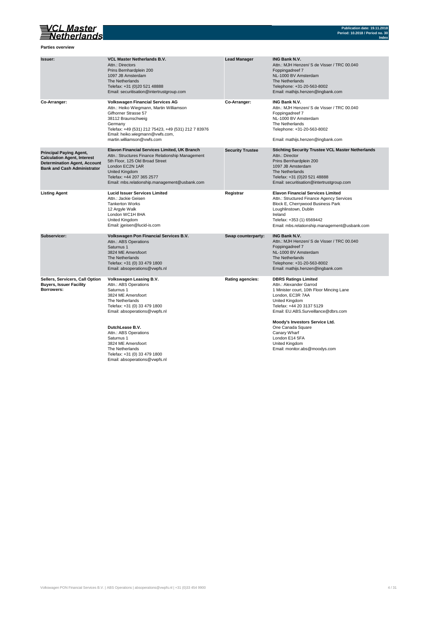## VCL Master<br>Setherlands

**Parties overview**

| Issuer:                                                                                                                                           | <b>VCL Master Netherlands B.V.</b><br>Attn.: Directors<br>Prins Bernhardplein 200<br>1097 JB Amsterdam<br>The Netherlands<br>Telefax: +31 (0)20 521 48888<br>Email: securitisation@intertrustgroup.com                                                               | <b>Lead Manager</b>     | <b>ING Bank N.V.</b><br>Attn.: MJH Henzen/ S de Visser / TRC 00.040<br>Foppingadreef 7<br>NL-1000 BV Amsterdam<br>The Netherlands<br>Telephone: +31-20-563-8002<br>Email: mathijs.henzen@ingbank.com                                         |
|---------------------------------------------------------------------------------------------------------------------------------------------------|----------------------------------------------------------------------------------------------------------------------------------------------------------------------------------------------------------------------------------------------------------------------|-------------------------|----------------------------------------------------------------------------------------------------------------------------------------------------------------------------------------------------------------------------------------------|
| Co-Arranger:                                                                                                                                      | <b>Volkswagen Financial Services AG</b><br>Attn.: Heiko Wiegmann, Martin Williamson<br>Gifhorner Strasse 57<br>38112 Braunschweig<br>Germany<br>Telefax: +49 (531) 212 75423, +49 (531) 212 7 83976<br>Email: heiko.wiegmann@vwfs.com,<br>martin.williamson@vwfs.com | Co-Arranger:            | <b>ING Bank N.V.</b><br>Attn.: MJH Henzen/ S de Visser / TRC 00.040<br>Foppingadreef 7<br>NL-1000 BV Amsterdam<br>The Netherlands<br>Telephone: +31-20-563-8002<br>Email: mathijs.henzen@ingbank.com                                         |
| <b>Principal Paying Agent,</b><br><b>Calculation Agent, Interest</b><br><b>Determination Agent, Account</b><br><b>Bank and Cash Administrator</b> | Elavon Financial Services Limited, UK Branch<br>Attn.: Structures Finance Relationship Management<br>5th Floor, 125 Old Broad Street<br>London EC2N 1AR<br>United Kingdom<br>Telefax: +44 207 365 2577<br>Email: mbs.relationship.management@usbank.com              | <b>Security Trustee</b> | <b>Stichting Security Trustee VCL Master Netherlands</b><br>Attn.: Director<br>Prins Bernhardplein 200<br>1097 JB Amsterdam<br>The Netherlands<br>Telefax: +31 (0)20 521 48888<br>Email: securitisation@intertrustgroup.com                  |
| <b>Listing Agent</b>                                                                                                                              | <b>Lucid Issuer Services Limited</b><br>Attn.: Jackie Geisen<br><b>Tankerton Works</b><br>12 Argyle Walk<br>London WC1H 8HA<br>United Kingdom<br>Email: jgeisen@lucid-is.com                                                                                         | Registrar               | <b>Elavon Financial Services Limited</b><br>Attn.: Structured Finance Agency Services<br>Block E, Cherrywood Business Park<br>Loughlinstown, Dublin<br>Ireland<br>Telefax: +353 (1) 6569442<br>Email: mbs.relationship.management@usbank.com |
| Subservicer:                                                                                                                                      | Volkswagen Pon Financial Services B.V.<br>Attn.: ABS Operations<br>Saturnus 1<br>3824 ME Amersfoort<br>The Netherlands<br>Telefax: +31 (0) 33 479 1800<br>Email: absoperations@vwpfs.nl                                                                              | Swap counterparty:      | <b>ING Bank N.V.</b><br>Attn.: MJH Henzen/ S de Visser / TRC 00.040<br>Foppingadreef 7<br>NL-1000 BV Amsterdam<br>The Netherlands<br>Telephone: +31-20-563-8002<br>Email: mathijs.henzen@ingbank.com                                         |
| Sellers, Servicers, Call Option<br><b>Buyers, Issuer Facility</b><br>Borrowers:                                                                   | Volkswagen Leasing B.V.<br>Attn.: ABS Operations<br>Saturnus 1<br>3824 ME Amersfoort<br>The Netherlands<br>Telefax: +31 (0) 33 479 1800<br>Email: absoperations@vwpfs.nl                                                                                             | Rating agencies:        | <b>DBRS Ratings Limited</b><br>Attn.: Alexander Garrod<br>1 Minister court, 10th Floor Mincing Lane<br>London, EC3R 7AA<br>United Kingdom<br>Telefax: +44 20 3137 5129<br>Email: EU.ABS.Surveillance@dbrs.com                                |
|                                                                                                                                                   | DutchLease B.V.<br>Attn.: ABS Operations<br>Saturnus 1<br>3824 ME Amersfoort<br>The Netherlands<br>Telefax: +31 (0) 33 479 1800<br>Email: absoperations@vwpfs.nl                                                                                                     |                         | Moody's Investors Service Ltd.<br>One Canada Square<br>Canary Wharf<br>London E14 5FA<br>United Kingdom<br>Email: monitor.abs@moodys.com                                                                                                     |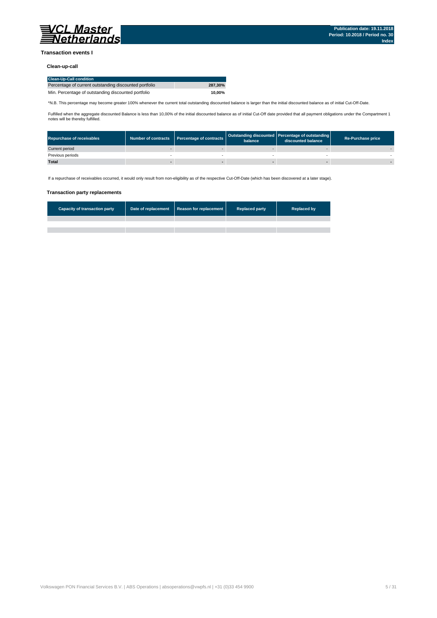

#### **Transaction events I**

### **Clean-up-call**

| <b>Clean-Up-Call condition</b>                         |         |
|--------------------------------------------------------|---------|
| Percentage of current outstanding discounted portfolio | 287.30% |
| Min. Percentage of outstanding discounted portfolio    | 10.00%  |

\*N.B. This percentage may become greater 100% whenever the current total outstanding discounted balance is larger than the initial discounted balance as of initial Cut-Off-Date.

Fulfilled when the aggregate discounted Balance is less than 10,00% of the initial discounted balance as of initial Cut-Off date provided that all payment obligations under the Compartment 1 notes will be thereby fulfilled.

| <b>Repurchase of receivables</b> | Number of contracts Percentage of contracts | balance | Outstanding discounted Percentage of outstanding<br>discounted balance | <b>Re-Purchase price</b> |
|----------------------------------|---------------------------------------------|---------|------------------------------------------------------------------------|--------------------------|
| Current period                   |                                             |         |                                                                        |                          |
| Previous periods                 |                                             |         |                                                                        |                          |
| <b>Total</b>                     |                                             |         |                                                                        |                          |

If a repurchase of receivables occurred, it would only result from non-eligibility as of the respective Cut-Off-Date (which has been discovered at a later stage).

#### **Transaction party replacements**

| <b>Capacity of transaction party</b> | Date of replacement Reason for replacement | <b>Replaced party</b> | <b>Replaced by</b> |
|--------------------------------------|--------------------------------------------|-----------------------|--------------------|
|                                      |                                            |                       |                    |
|                                      |                                            |                       |                    |
|                                      |                                            |                       |                    |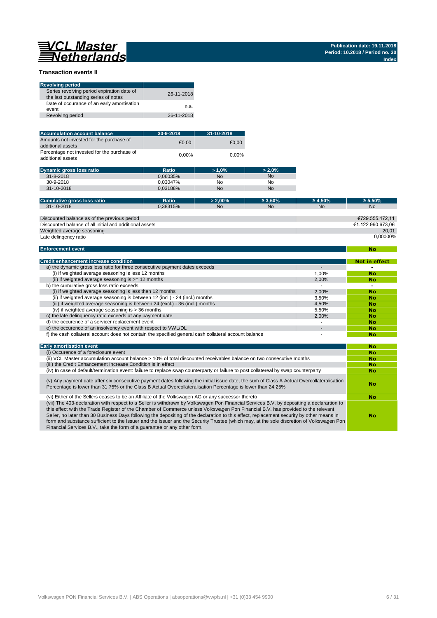**No**

#### **Transaction events II**

| <b>Revolving period</b>                                                            |            |
|------------------------------------------------------------------------------------|------------|
| Series revolving period expiration date of<br>the last outstanding series of notes | 26-11-2018 |
| Date of occurance of an early amortisation<br>event                                | n.a.       |
| Revolving period                                                                   | 26-11-2018 |

| <b>Accumulation account balance</b>                              | 30-9-2018 | 31-10-2018 |
|------------------------------------------------------------------|-----------|------------|
| Amounts not invested for the purchase of<br>additional assets    | €0.00     | €0.00      |
| Percentage not invested for the purchase of<br>additional assets | 0.00%     | $0.00\%$   |

| Dynamic gross loss ratio | Ratio    | $>1.0\%$  | $> 2.0\%$ |
|--------------------------|----------|-----------|-----------|
| $31 - 8 - 2018$          | 0.06035% | <b>No</b> | <b>No</b> |
| 30-9-2018                | 0.03047% | No        | No        |
| $31 - 10 - 2018$         | 0.03188% | <b>No</b> | No        |

| Ratio    | $> 2.00\%$                                              | $\geq 3.50\%$ | $\geq 4.50\%$  | $\geq 5.50\%$     |
|----------|---------------------------------------------------------|---------------|----------------|-------------------|
| 0.38315% | N <sub>o</sub>                                          | No            | N <sub>o</sub> | <b>No</b>         |
|          |                                                         |               |                |                   |
|          |                                                         |               |                | €729.555.472.11   |
|          |                                                         |               |                | €1.122.990.673.06 |
|          |                                                         |               |                | 20.01             |
|          |                                                         |               |                | 0.00000%          |
|          | Discounted balance of all initial and additional assets |               |                |                   |

#### **Enforcement event**

| <b>Credit enhancement increase condition</b>                                                          |       | Not in effect |
|-------------------------------------------------------------------------------------------------------|-------|---------------|
| a) the dynamic gross loss ratio for three consecutive payment dates exceeds                           |       |               |
| (i) if weighted average seasoning is less 12 months                                                   | 1.00% | <b>No</b>     |
| (ii) if weighted average seasoning is $\geq$ = 12 months                                              | 2.00% | No            |
| b) the cumulative gross loss ratio exceeds                                                            |       |               |
| (i) if weighted average seasoning is less then 12 months                                              | 2.00% | <b>No</b>     |
| (ii) if weighted average seasoning is between 12 (incl.) - 24 (incl.) months                          | 3.50% | No            |
| (iii) if weighted average seasoning is between 24 (excl.) - 36 (incl.) months                         | 4.50% | No            |
| (iv) if weighted average seasoning is $>$ 36 months                                                   | 5.50% | No            |
| c) the late delinguency ratio exceeds at any payment date                                             | 2.00% | No            |
| d) the occurence of a servicer replacement event                                                      |       | No            |
| e) the occurence of an insolvency event with respect to VWL/DL                                        |       | No            |
| f) the cash collateral account does not contain the specified general cash collateral account balance |       | No            |

| <b>Early amortisation event</b>                                                                                                                                                                                                                                                                                                                                                                                                                                                                                                                                                                                                                    | No |
|----------------------------------------------------------------------------------------------------------------------------------------------------------------------------------------------------------------------------------------------------------------------------------------------------------------------------------------------------------------------------------------------------------------------------------------------------------------------------------------------------------------------------------------------------------------------------------------------------------------------------------------------------|----|
| (i) Occurence of a foreclosure event                                                                                                                                                                                                                                                                                                                                                                                                                                                                                                                                                                                                               | No |
| (ii) VCL Master accumulation account balance > 10% of total discounted receivables balance on two consecutive months                                                                                                                                                                                                                                                                                                                                                                                                                                                                                                                               | No |
| (iii) the Credit Enhancement Increase Condition is in effect                                                                                                                                                                                                                                                                                                                                                                                                                                                                                                                                                                                       | No |
| (iv) In case of default/termination event: failure to replace swap counterparty or failure to post collatereal by swap counterparty                                                                                                                                                                                                                                                                                                                                                                                                                                                                                                                | No |
| (v) Any payment date after six consecutive payment dates following the initial issue date, the sum of Class A Actual Overcollateralisation<br>Percentage is lower than 31,75% or the Class B Actual Overcollateralisation Percentage is lower than 24,25%                                                                                                                                                                                                                                                                                                                                                                                          | No |
| (vi) Either of the Sellers ceases to be an Affiliate of the Volkswagen AG or any successor thereto                                                                                                                                                                                                                                                                                                                                                                                                                                                                                                                                                 | No |
| (vii) The 403-declaration with respect to a Seller is withdrawn by Volkswagen Pon Financial Services B.V. by depositing a declarartion to<br>this effect with the Trade Register of the Chamber of Commerce unless Volkswagen Pon Financial B.V. has provided to the relevant<br>Seller, no later than 30 Business Days following the depositing of the declaration to this effect, replacement security by other means in<br>form and substance sufficient to the Issuer and the Issuer and the Security Trustee (which may, at the sole discretion of Volkswagen Pon<br>Financial Services B.V., take the form of a quarantee or any other form. | No |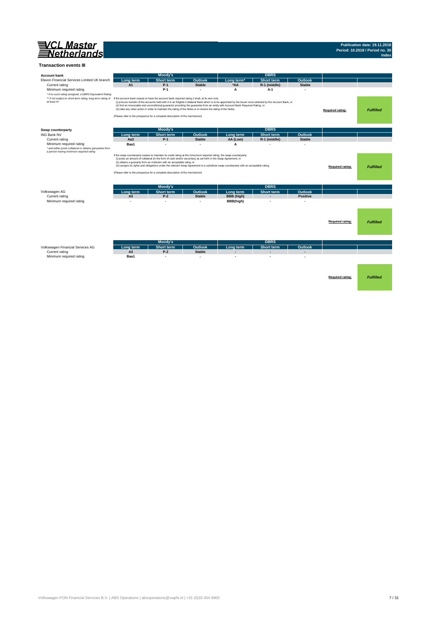

#### **Transaction events III**

| <b>Account bank</b>                                                                                                                                        |                                                                                                                                                                                             | Moody's           |                |                                                                                                                                                                                                                                                                                                    | <b>DBRS</b>              |                 |                         |                  |
|------------------------------------------------------------------------------------------------------------------------------------------------------------|---------------------------------------------------------------------------------------------------------------------------------------------------------------------------------------------|-------------------|----------------|----------------------------------------------------------------------------------------------------------------------------------------------------------------------------------------------------------------------------------------------------------------------------------------------------|--------------------------|-----------------|-------------------------|------------------|
| Elavon Financial Services Limited UK branch                                                                                                                | Long term                                                                                                                                                                                   | <b>Short term</b> | <b>Outlook</b> | Long term <sup>*</sup>                                                                                                                                                                                                                                                                             | <b>Short term</b>        | <b>Outlook</b>  |                         |                  |
| Current rating                                                                                                                                             | A1                                                                                                                                                                                          | $P-1$             | <b>Stable</b>  | *AA                                                                                                                                                                                                                                                                                                | R-1 (middle)             | <b>Stable</b>   |                         |                  |
| Minimum required rating                                                                                                                                    |                                                                                                                                                                                             | $P-1$             |                | A                                                                                                                                                                                                                                                                                                  | $A-1$                    |                 |                         |                  |
| * if no such rating assigned, a DBRS Equivalent Rating                                                                                                     |                                                                                                                                                                                             |                   |                |                                                                                                                                                                                                                                                                                                    |                          |                 |                         |                  |
| ** if not subject to short-term rating, long term rating of If the account bank ceases to have the account bank required rating it shall, at its own cost, |                                                                                                                                                                                             |                   |                |                                                                                                                                                                                                                                                                                                    |                          |                 |                         |                  |
| at least A+                                                                                                                                                |                                                                                                                                                                                             |                   |                | (i) procure transfer of the accounts held with it to an Eligible Collateral Bank which is to be appointed by the Issuer once selected by the Account Bank, or<br>(ii) find an irrevocable and unconditional guarantor providing the guarantee from an entity with Account Bank Required Rating, or |                          |                 |                         |                  |
|                                                                                                                                                            | (iii) take any other action in order to maintain the rating of the Notes or to restore the rating of the Notes.                                                                             |                   |                |                                                                                                                                                                                                                                                                                                    |                          |                 | <b>Required rating:</b> | <b>Fulfilled</b> |
|                                                                                                                                                            | (Please refer to the prospectus for a complete description of the mechanism)                                                                                                                |                   |                |                                                                                                                                                                                                                                                                                                    |                          |                 |                         |                  |
|                                                                                                                                                            |                                                                                                                                                                                             |                   |                |                                                                                                                                                                                                                                                                                                    |                          |                 |                         |                  |
|                                                                                                                                                            |                                                                                                                                                                                             |                   |                |                                                                                                                                                                                                                                                                                                    |                          |                 |                         |                  |
| Swap counterparty                                                                                                                                          |                                                                                                                                                                                             | Moody's           |                |                                                                                                                                                                                                                                                                                                    | <b>DBRS</b>              |                 |                         |                  |
| <b>ING Bank NV</b>                                                                                                                                         | Long term                                                                                                                                                                                   | <b>Short term</b> | Outlook        | Long term                                                                                                                                                                                                                                                                                          | <b>Short term</b>        | Outlook         |                         |                  |
| Current rating                                                                                                                                             | Aa <sub>3</sub>                                                                                                                                                                             | $P-1$             | <b>Stable</b>  | AA (Low)                                                                                                                                                                                                                                                                                           | R-1 (middle)             | <b>Stable</b>   |                         |                  |
| Minimum required rating                                                                                                                                    | Baa1                                                                                                                                                                                        |                   |                | A                                                                                                                                                                                                                                                                                                  |                          |                 |                         |                  |
| * and either posts collateral or obtains garuantee from<br>a person having minimum required rating                                                         |                                                                                                                                                                                             |                   |                |                                                                                                                                                                                                                                                                                                    |                          |                 |                         |                  |
|                                                                                                                                                            | If the swap counterparty ceases to maintain its credit rating at the miniumum required rating, the swap counterparty:                                                                       |                   |                |                                                                                                                                                                                                                                                                                                    |                          |                 |                         |                  |
|                                                                                                                                                            | (i) posts an amount of collateral (in the form of cash and/or securities) as set forth in the Swap Agreement; or<br>(ii) obtains a guaranty from an instituton with an acceptable ratng; or |                   |                |                                                                                                                                                                                                                                                                                                    |                          |                 |                         |                  |
|                                                                                                                                                            |                                                                                                                                                                                             |                   |                | (iii) assigns its rights and obligations under the relevant Swap Agreement to a substitute swap counterparty with an acceptable rating.                                                                                                                                                            |                          |                 | Required rating:        | <b>Fulfilled</b> |
|                                                                                                                                                            | (Please refer to the prospectus for a complete description of the mechanism)                                                                                                                |                   |                |                                                                                                                                                                                                                                                                                                    |                          |                 |                         |                  |
|                                                                                                                                                            |                                                                                                                                                                                             |                   |                |                                                                                                                                                                                                                                                                                                    |                          |                 |                         |                  |
|                                                                                                                                                            |                                                                                                                                                                                             |                   |                |                                                                                                                                                                                                                                                                                                    |                          |                 |                         |                  |
|                                                                                                                                                            |                                                                                                                                                                                             | Moody's           |                |                                                                                                                                                                                                                                                                                                    | <b>DBRS</b>              |                 |                         |                  |
| Volkswagen AG                                                                                                                                              | Long term                                                                                                                                                                                   | Short term        | <b>Outlook</b> | Long term                                                                                                                                                                                                                                                                                          | Short term               | <b>Outlook</b>  |                         |                  |
| Current rating                                                                                                                                             | A <sub>3</sub>                                                                                                                                                                              | $P-2$             | <b>Stable</b>  | <b>BBB</b> (high)                                                                                                                                                                                                                                                                                  | $\overline{\phantom{a}}$ | <b>Positive</b> |                         |                  |
| Minimum required rating                                                                                                                                    | ٠                                                                                                                                                                                           | ٠                 |                | BBB(high)                                                                                                                                                                                                                                                                                          |                          |                 |                         |                  |
|                                                                                                                                                            |                                                                                                                                                                                             |                   |                |                                                                                                                                                                                                                                                                                                    |                          |                 |                         |                  |
|                                                                                                                                                            |                                                                                                                                                                                             |                   |                |                                                                                                                                                                                                                                                                                                    |                          |                 |                         |                  |
|                                                                                                                                                            |                                                                                                                                                                                             |                   |                |                                                                                                                                                                                                                                                                                                    |                          |                 |                         |                  |
|                                                                                                                                                            |                                                                                                                                                                                             |                   |                |                                                                                                                                                                                                                                                                                                    |                          |                 | Required rating:        | <b>Fulfilled</b> |
|                                                                                                                                                            |                                                                                                                                                                                             |                   |                |                                                                                                                                                                                                                                                                                                    |                          |                 |                         |                  |
|                                                                                                                                                            |                                                                                                                                                                                             |                   |                |                                                                                                                                                                                                                                                                                                    |                          |                 |                         |                  |
|                                                                                                                                                            |                                                                                                                                                                                             |                   |                |                                                                                                                                                                                                                                                                                                    |                          |                 |                         |                  |
|                                                                                                                                                            |                                                                                                                                                                                             | Moody's           |                |                                                                                                                                                                                                                                                                                                    | <b>DBRS</b>              |                 |                         |                  |
| Volkswagen Financial Services AG                                                                                                                           | Long term                                                                                                                                                                                   | <b>Short term</b> | Outlook        | Long term                                                                                                                                                                                                                                                                                          | <b>Short term</b>        | Outlook         |                         |                  |
| Current rating                                                                                                                                             | A <sub>3</sub>                                                                                                                                                                              | $P-2$             | <b>Stable</b>  |                                                                                                                                                                                                                                                                                                    |                          |                 |                         |                  |
| Minimum required rating                                                                                                                                    | Baa1                                                                                                                                                                                        | ٠                 | ٠              |                                                                                                                                                                                                                                                                                                    |                          |                 |                         |                  |
|                                                                                                                                                            |                                                                                                                                                                                             |                   |                |                                                                                                                                                                                                                                                                                                    |                          |                 |                         |                  |
|                                                                                                                                                            |                                                                                                                                                                                             |                   |                |                                                                                                                                                                                                                                                                                                    |                          |                 |                         |                  |
|                                                                                                                                                            |                                                                                                                                                                                             |                   |                |                                                                                                                                                                                                                                                                                                    |                          |                 |                         |                  |
|                                                                                                                                                            |                                                                                                                                                                                             |                   |                |                                                                                                                                                                                                                                                                                                    |                          |                 | Required rating:        | <b>Fulfilled</b> |
|                                                                                                                                                            |                                                                                                                                                                                             |                   |                |                                                                                                                                                                                                                                                                                                    |                          |                 |                         |                  |
|                                                                                                                                                            |                                                                                                                                                                                             |                   |                |                                                                                                                                                                                                                                                                                                    |                          |                 |                         |                  |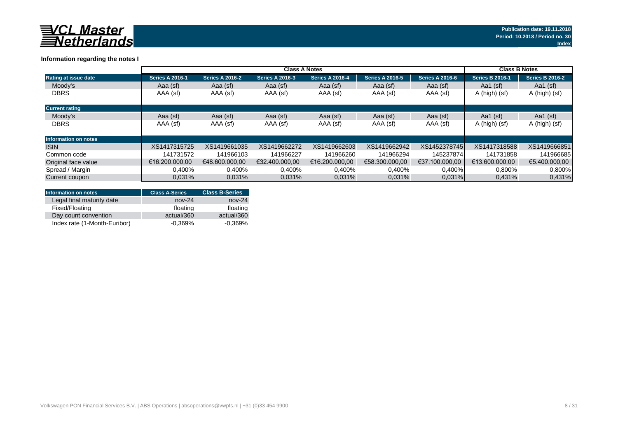

### **Information regarding the notes I**

|                             | <b>Class A Notes</b>   |                        |                        |                        |                        |                        |                        | <b>Class B Notes</b>   |  |
|-----------------------------|------------------------|------------------------|------------------------|------------------------|------------------------|------------------------|------------------------|------------------------|--|
| Rating at issue date        | <b>Series A 2016-1</b> | <b>Series A 2016-2</b> | <b>Series A 2016-3</b> | <b>Series A 2016-4</b> | <b>Series A 2016-5</b> | <b>Series A 2016-6</b> | <b>Series B 2016-1</b> | <b>Series B 2016-2</b> |  |
| Moody's                     | Aaa (sf)               | Aaa (sf)               | Aaa (sf)               | Aaa (sf)               | Aaa (sf)               | Aaa (sf)               | Aa1 $(sf)$             | Aa1 $(sf)$             |  |
| <b>DBRS</b>                 | AAA (sf)               | AAA (sf)               | AAA (sf)               | AAA (sf)               | AAA (sf)               | AAA (sf)               | A (high) (sf)          | A (high) (sf)          |  |
| <b>Current rating</b>       |                        |                        |                        |                        |                        |                        |                        |                        |  |
| Moody's                     | Aaa (sf)               | Aaa (sf)               | Aaa (sf)               | Aaa (sf)               | Aaa (sf)               | Aaa (sf)               | Aa1 $(sf)$             | Aa1 $(sf)$             |  |
| <b>DBRS</b>                 | AAA (sf)               | AAA (sf)               | AAA (sf)               | AAA (sf)               | AAA (sf)               | AAA (sf)               | A (high) (sf)          | A (high) (sf)          |  |
| <b>Information on notes</b> |                        |                        |                        |                        |                        |                        |                        |                        |  |
| <b>ISIN</b>                 | XS1417315725           | XS1419661035           | XS1419662272           | XS1419662603           | XS1419662942           | XS1452378745           | XS1417318588           | XS1419666851           |  |
| Common code                 | 141731572              | 141966103              | 141966227              | 141966260              | 141966294              | 145237874              | 141731858              | 141966685              |  |
| Original face value         | €16.200.000.00         | €48.600.000.00         | €32.400.000.00         | €16.200.000.00         | €58.300.000.00         | €37.100.000.00         | €13.600.000.00         | €5.400.000.00          |  |
| Spread / Margin             | 0,400%                 | 0,400%                 | 0,400%                 | 0,400%                 | 0,400%                 | $0,400\%$              | 0,800%                 | 0.800%                 |  |
| Current coupon              | 0.031%                 | 0.031%                 | 0.031%                 | 0.031%                 | 0.031%                 | $0.031\%$              | 0,431%                 | 0,431%                 |  |

| <b>Information on notes</b>  | <b>Class A-Series</b> | <b>Class B-Series</b> |
|------------------------------|-----------------------|-----------------------|
| Legal final maturity date    | $nov-24$              | $nov-24$              |
| Fixed/Floating               | floating              | floating              |
| Day count convention         | actual/360            | actual/360            |
| Index rate (1-Month-Euribor) | $-0.369%$             | $-0.369%$             |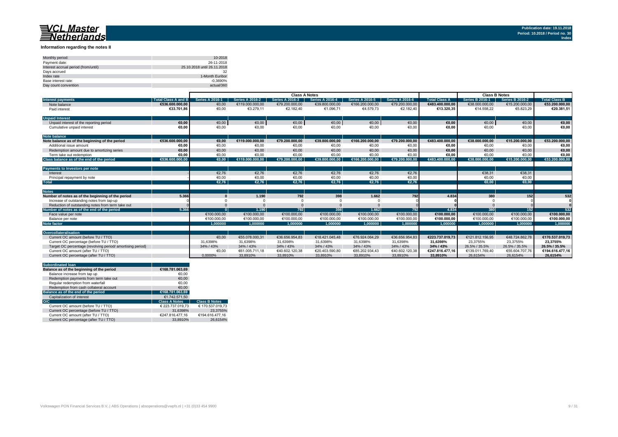#### **Information regarding the notes II**

| Monthly period:                      | 10-2018                     |
|--------------------------------------|-----------------------------|
| Payment date:                        | 26-11-2018                  |
| Interest accrual period (from/until) | 25.10.2018 until 26.11.2018 |
| Davs accrued                         | 32                          |
| Index rate                           | 1-Month Euribor             |
| Base interest rate:                  | $-0.3690%$                  |
| Day count convention                 | actual/360                  |

|                                                           |                            | <b>Class A Notes</b>   |                        |                        |                        |                        |                        |                      |                        | <b>Class B Notes</b>   |                 |
|-----------------------------------------------------------|----------------------------|------------------------|------------------------|------------------------|------------------------|------------------------|------------------------|----------------------|------------------------|------------------------|-----------------|
| <b>Interest payments</b>                                  | <b>Total Class A and B</b> | <b>Series A 2016-1</b> | <b>Series A 2016-2</b> | <b>Series A 2016-3</b> | <b>Series A 2016-4</b> | <b>Series A 2016-5</b> | <b>Series A 2016-6</b> | <b>Total Class A</b> | <b>Series B 2016-1</b> | <b>Series B 2016-2</b> | Total Class B   |
| Note balance                                              | €536.600.000.00            | €0,00                  | €119,000,000,00        | €79.200.000.00         | €39.800.000.00         | €166.200.000.00        | €79.200.000,00         | €483.400.000.00      | €38,000,000,00         | €15,200,000,00         | €53.200.000,00  |
| Paid interest                                             | €33.701.86                 | €0,00                  | €3.279,11              | €2.182,40              | €1.096,71              | €4.579,73              | €2.182,40              | €13.320,35           | €14.558,22             | €5.823,29              | €20.381,51      |
| <b>Unpaid Interest</b>                                    |                            |                        |                        |                        |                        |                        |                        |                      |                        |                        |                 |
| Unpaid interest of the reporting period                   | €0.00                      | €0,00                  | $\epsilon$ 0,00        | €0,00                  | €0,00                  | $\epsilon$ 0,00        | €0,00                  | €0,00                | €0,00                  | €0,00                  | €0,00           |
| Cumulative unpaid interest                                | €0.00                      | €0.00                  | €0.00                  | €0.00                  | €0.00                  | €0.00                  | €0.00                  | €0.00                | €0.00                  | €0.00                  | €0.00           |
| <b>Note balance</b>                                       |                            |                        |                        |                        |                        |                        |                        |                      |                        |                        |                 |
| Note balance as of the beginning of the period            | €536.600.000.00            | €0.00                  | €119.000.000,00        | €79.200.000.00         | €39.800.000.00         | €166.200.000.00        | €79.200.000,00         | €483.400.000.00      | €38.000.000.00         | €15.200.000,00         | €53.200.000,00  |
| Additional issue amount                                   | €0.00                      | €0.00                  | €0.00                  | €0,00                  | €0.00                  | €0.00                  | €0.00                  | €0.00                | €0.00                  | €0.00                  | €0,00           |
| Redemption amount due to amortizing series                | €0,00                      | €0,00                  | €0.00                  | €0,00                  | €0,00                  | €0.00                  | €0,00                  | €0,00                | €0.00                  | €0,00                  | €0,00           |
| Term take out redemption                                  | €0.00                      | €0.00                  | €0.00                  | €0.00                  | €0.00                  | €0.00                  | €0.00                  | €0.00                | €0.00                  | €0.00                  | €0,00           |
| Class balance as of the end of the period                 | €536.600.000.00            | $\epsilon$ 0.00        | €119.000.000.00        | €79.200.000.00         | €39.800.000.00         | €166.200.000.00        | €79.200.000.00         | €483.400.000.00      | €38.000.000.00         | €15.200.000.00         | €53.200.000.00  |
|                                                           |                            |                        |                        |                        |                        |                        |                        |                      |                        |                        |                 |
| <b>Payments to Investors per note</b>                     |                            |                        |                        |                        |                        |                        |                        |                      |                        |                        |                 |
| Interest                                                  |                            | €2.76                  | €2.76                  | €2,76                  | €2.76                  | €2.76                  | €2,76                  |                      | €38.31                 | €38.31                 |                 |
| Principal repayment by note                               |                            | €0,00                  | €0,00                  | €0,00                  | €0,00                  | €0,00                  | €0,00                  |                      | €0,00                  | €0,00                  |                 |
| <b>Total</b>                                              |                            | €2.76                  | €2.76                  | €2.76                  | €2.76                  | €2.76                  | €2.76                  |                      | $\epsilon$ 0.00        | €0.00                  |                 |
|                                                           |                            |                        |                        |                        |                        |                        |                        |                      |                        |                        |                 |
| <b>Notes</b>                                              |                            |                        |                        |                        |                        |                        |                        |                      |                        |                        |                 |
| Number of notes as of the beginning of the period         | 5.366                      |                        | 1.190                  | 792                    | 398                    | 1.662                  | 792                    | 4.834                | 380                    | 152                    | 532             |
| Increase of outstanding notes from tap-up                 |                            |                        |                        |                        |                        |                        |                        |                      |                        |                        |                 |
| Reduction of outstanding notes from term take out         |                            |                        |                        |                        |                        |                        |                        |                      |                        |                        |                 |
| Number of notes as of the end of the period               | 5.366                      |                        | 1.190                  | 792                    | 398                    | 1.662                  | 792                    | 4.834                | 380                    | 152                    | 532             |
| Face value per note                                       |                            | €100.000,00            | €100.000,00            | €100.000,00            | €100.000,00            | €100.000,00            | €100.000,00            | €100.000.00          | €100.000,00            | €100.000,00            | €100.000,00     |
| Balance per note                                          |                            | €100.000,00            | €100.000.00            | €100.000,00            | €100.000,00            | €100.000,00            | €100.000,00            | €100.000,00          | €100.000,00            | €100.000,00            | €100.000,00     |
| <b>Note factor</b>                                        |                            | 1.000000               | 1.000000               | 1.000000               | 1.000000               | 1.000000               | 1.000000               | 1.000000             | 1.000000               | 1.000000               | 1.000000        |
|                                                           |                            |                        |                        |                        |                        |                        |                        |                      |                        |                        |                 |
| Overcollateralisation                                     |                            |                        |                        |                        |                        |                        |                        |                      |                        |                        |                 |
| Current OC amount (before TU / TTO)                       |                            | €0.00                  | €55.078.000.31         | €36.656.954.83         | €18.421.045.48         | €76.924.064.29         | €36.656.954.83         | €223.737.019.73      | €121.812.156.95        | €48.724.862.78         | €170.537.019.73 |
| Current OC percentage (before TU / TTO)                   |                            | 31.6398%               | 31,6398%               | 31,6398%               | 31,6398%               | 31,6398%               | 31,6398%               | 31.6398%             | 23.3755%               | 23.3755%               | 23.3755%        |
| Target OC percentage (revolving period/amortising period) |                            | 34% / 43%              | 34% / 43%              | 34% / 43%              | 34% / 43%              | 34% / 43%              | 34% / 43%              | 34% / 43%            | 26.5% / 35.5%          | 26.5% / 35.5%          | 26.5% / 35.5%   |
| Current OC amount (after TU / TTO)                        |                            | €0,00                  | €61.005.711.18         | €40.602.120.38         | €20.403.590.80         | €85.202.934.43         | €40.602.120.38         | €247.816.477.16      | €139.011.769.40        | €55.604.707.76         | €194.616.477,16 |
| Current OC percentage (after TU / TTO)                    |                            | 0.0000%                | 33.8910%               | 33.8910%               | 33.8910%               | 33.8910%               | 33,8910%               | 33.8910%             | 26.6154%               | 26.6154%               | 26.6154%        |

| <b>Subordinated loan</b>                  |                      |                      |
|-------------------------------------------|----------------------|----------------------|
| Balance as of the beginning of the period | €168.781.063.69      |                      |
| Balance increase from tap up              | €0.00                |                      |
| Redemption payments from term take out    | €0.00                |                      |
| Regular redemption from waterfall         | €0.00                |                      |
| Redemption from cash collateral account   | €0.00                |                      |
| Balance as of the end of the period       | €168.781.063.69      |                      |
| Capitalization of interest                | €1.742.571.50        |                      |
| O/C                                       | <b>Class A Notes</b> | <b>Class B Notes</b> |
| Current OC amount (before TU / TTO)       | € 223.737.019.73     | € 170.537.019.73     |
| Current OC percentage (before TU / TTO)   | 31.6398%             | 23.3755%             |
| Current OC amount (after TU / TTO)        | €247.816.477.16      | €194.616.477.16      |
| Current OC percentage (after TU / TTO)    | 33.8910%             | 26.6154%             |
|                                           |                      |                      |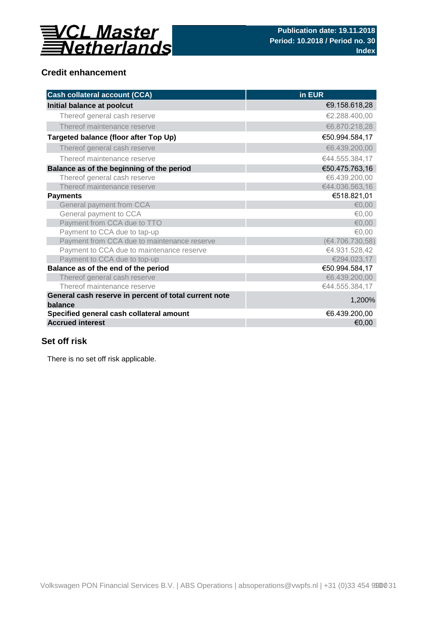

## **Credit enhancement**

| <b>Cash collateral account (CCA)</b>                             | in EUR          |
|------------------------------------------------------------------|-----------------|
| Initial balance at poolcut                                       | €9.158.618,28   |
| Thereof general cash reserve                                     | €2.288.400,00   |
| Thereof maintenance reserve                                      | €6.870.218,28   |
| Targeted balance (floor after Top Up)                            | €50.994.584,17  |
| Thereof general cash reserve                                     | €6.439.200,00   |
| Thereof maintenance reserve                                      | €44.555.384,17  |
| Balance as of the beginning of the period                        | €50.475.763,16  |
| Thereof general cash reserve                                     | €6.439.200,00   |
| Thereof maintenance reserve                                      | €44.036.563,16  |
| <b>Payments</b>                                                  | €518.821,01     |
| General payment from CCA                                         | € $0.00$        |
| General payment to CCA                                           | €0,00           |
| Payment from CCA due to TTO                                      | € $0,00$        |
| Payment to CCA due to tap-up                                     | €0,00           |
| Payment from CCA due to maintenance reserve                      | (€4.706.730,58) |
| Payment to CCA due to maintenance reserve                        | €4.931.528,42   |
| Payment to CCA due to top-up                                     | €294.023,17     |
| Balance as of the end of the period                              | €50.994.584,17  |
| Thereof general cash reserve                                     | €6.439.200,00   |
| Thereof maintenance reserve                                      | €44.555.384,17  |
| General cash reserve in percent of total current note<br>balance | 1,200%          |
| Specified general cash collateral amount                         | €6.439.200,00   |
| <b>Accrued interest</b>                                          | €0,00           |

## **Set off risk**

There is no set off risk applicable.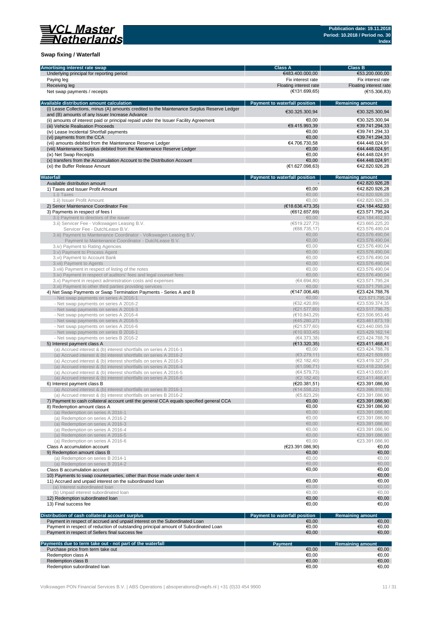

### **Swap fixing / Waterfall**

| Amortising interest rate swap                                                                                                                                 | <b>Class A</b>                       | <b>Class B</b>                   |
|---------------------------------------------------------------------------------------------------------------------------------------------------------------|--------------------------------------|----------------------------------|
| Underlying principal for reporting period                                                                                                                     | €483.400.000,00                      | €53.200.000,00                   |
| Paying leg                                                                                                                                                    | Fix interest rate                    | Fix interest rate                |
| Receiving leg                                                                                                                                                 | Floating interest rate               | Floating interest rate           |
| Net swap payments / receipts                                                                                                                                  | (E131.699, 65)                       | (E15.306, 83)                    |
|                                                                                                                                                               |                                      |                                  |
| Available distribution amount calculation                                                                                                                     | <b>Payment to waterfall position</b> | <b>Remaining amount</b>          |
| (i) Lease Collections, minus (A) amounts credited to the Maintenance Surplus Reserve Ledger                                                                   |                                      |                                  |
| and (B) amounts of any Issuer Increase Advance                                                                                                                | €30.325.300.94                       | €30.325.300,94                   |
| (ii) amounts of interest paid or principal repaid under the Issuer Facility Agreement                                                                         | €0,00                                | €30.325.300,94                   |
| (iii) Vehicle Realisation Proceeds                                                                                                                            | €9.415.993,39                        | €39.741.294,33                   |
| (iv) Lease Incidental Shortfall payments                                                                                                                      | €0.00                                | €39.741.294,33                   |
| (vi) payments from the CCA                                                                                                                                    | €0.00                                | €39.741.294,33                   |
| (vii) amounts debited from the Maintenance Reserve Ledger                                                                                                     | €4.706.730,58                        | €44.448.024,91                   |
| (viii) Maintenance Surplus debited from the Maintenance Reserve Ledger                                                                                        | €0,00                                | €44.448.024,91                   |
|                                                                                                                                                               | €0.00                                | €44.448.024,91                   |
| (ix) Net Swap Receipts<br>(x) transfers from the Accumulation Account to the Distribution Account                                                             | €0,00                                | €44.448.024,91                   |
|                                                                                                                                                               | (E1.627.098, 63)                     | €42.820.926,28                   |
| (xi) the Buffer Release Amount                                                                                                                                |                                      |                                  |
| Waterfall                                                                                                                                                     |                                      |                                  |
|                                                                                                                                                               | Payment to waterfall position        | <b>Remaining amount</b>          |
| Available distribution amount                                                                                                                                 |                                      | €42.820.926,28                   |
| 1) Taxes and Issuer Profit Amount                                                                                                                             | €0,00                                | €42.820.926,28                   |
| 1.i) Taxes                                                                                                                                                    | €0.00                                | €42.820.926,28                   |
| 1.ii) Issuer Profit Amount                                                                                                                                    | €0,00                                | €42.820.926,28                   |
| 2) Senior Maintenance Coordinator Fee                                                                                                                         | (E18.636.473,35)                     | €24.184.452,93                   |
| 3) Payments in respect of fees I                                                                                                                              | (E612.657, 69)                       | €23.571.795,24                   |
| 3.i) Payment to directors of the issuer                                                                                                                       | €0,00                                | €24.184.452,93                   |
| 3.ii) Servicer Fee - Volkswagen Leasing B.V.                                                                                                                  | (6519.227,73)                        | €23.665.225,20                   |
| Servicer Fee - DutchLease B.V.                                                                                                                                | (€88.735, 17)                        | €23.576.490.04                   |
| 3.iii) Payment to Maintenance Coordinator - Volkswagen Leasing B.V.                                                                                           | €0,00                                | €23.576.490,04                   |
| Payment to Maintenance Coordinator - DutchLease B.V.                                                                                                          | €0,00                                | €23.576.490,04                   |
| 3.iv) Payment to Rating Agencies                                                                                                                              | €0.00                                | €23.576.490,04                   |
| 3.v) Payment to Process Agent                                                                                                                                 | € $0,00$                             | €23.576.490,04                   |
| 3.vi) Payment to Account Bank                                                                                                                                 | €0,00                                | €23.576.490,04                   |
| 3.vii) Payment to Agents                                                                                                                                      | €0.00                                | €23.576.490.04                   |
| 3.viii) Payment in respect of listing of the notes                                                                                                            | €0.00                                | €23.576.490,04                   |
| 3.ix) Payment in respect of auditors' fees and legal counsel fees                                                                                             | €0,00                                | €23.576.490,04                   |
| 3.x) Payment in respect administration costs and expenses                                                                                                     | (€4.694,80)                          | €23.571.795,24                   |
| 3.xi) Payment to other third parties providing services                                                                                                       | €0,00                                | €23.571.795,24                   |
| 4) Net Swap Payments or Swap Termination Payments - Series A and B                                                                                            | (€147.006,48)                        | €23.424.788,76                   |
| - Net swap payments on series A 2016-1                                                                                                                        | €0,00                                | €23.571.795,24                   |
| - Net swap payments on series A 2016-2                                                                                                                        | (€32.420,89)                         | €23.539.374,35                   |
| - Net swap payments on series A 2016-3                                                                                                                        | (E21.577,60)                         | €23.517.796,75                   |
| - Net swap payments on series A 2016-4                                                                                                                        | (€10.843,29)                         | €23.506.953,46                   |
| - Net swap payments on series A 2016-5                                                                                                                        | (645.280, 27)                        | €23.461.673,19                   |
| - Net swap payments on series A 2016-6                                                                                                                        | (E21.577,60)                         | €23.440.095,59                   |
| - Net swap payments on series B 2016-1                                                                                                                        | (E10.933, 45)                        | €23.429.162,14                   |
| - Net swap payments on series B 2016-2                                                                                                                        | (€4.373,38)                          | €23.424.788,76                   |
| 5) Interest payment class A                                                                                                                                   | (E13.320, 35)                        | €23.411.468,41                   |
| (a) Accrued interest & (b) interest shortfalls on series A 2016-1                                                                                             | €0,00                                | €23.424.788,76                   |
| (a) Accrued interest & (b) interest shortfalls on series A 2016-2                                                                                             | (63.279, 11)                         | €23.421.509,65                   |
| (a) Accrued interest & (b) interest shortfalls on series A 2016-3                                                                                             | (E2.182, 40)                         | €23.419.327,25                   |
| (a) Accrued interest & (b) interest shortfalls on series A 2016-4                                                                                             | (€1.096,71)                          | €23.418.230,54                   |
| (a) Accrued interest & (b) interest shortfalls on series A 2016-5                                                                                             | (€4.579,73)                          | €23.413.650,81                   |
| (a) Accrued interest & (b) interest shortfalls on series A 2016-6                                                                                             | (E2.182, 40)                         | €23.411.468,41                   |
| 6) Interest payment class B                                                                                                                                   | (E20.381,51)                         | €23.391.086,90                   |
| (a) Accrued interest & (b) interest shortfalls on series B 2016-1                                                                                             | (E14.558, 22)                        | €23.396.910,19                   |
|                                                                                                                                                               |                                      | €23.391.086,90                   |
| (a) Accrued interest & (b) interest shortfalls on series B 2016-2<br>7) Payment to cash collateral account until the general CCA equals specified general CCA | (65.823, 29)<br>€0,00                | €23.391.086,90                   |
|                                                                                                                                                               | €0,00                                | €23.391.086,90                   |
| 8) Redemption amount class A                                                                                                                                  | €0,00                                | €23.391.086,90                   |
| (a) Redemption on series A 2016-1<br>(a) Redemption on series A 2016-2                                                                                        | €0,00                                | €23.391.086,90                   |
| (a) Redemption on series A 2016-3                                                                                                                             | €0,00                                |                                  |
|                                                                                                                                                               | €0,00                                | €23.391.086,90<br>€23.391.086,90 |
| (a) Redemption on series A 2016-4                                                                                                                             | €0,00                                |                                  |
| (a) Redemption on series A 2016-5                                                                                                                             |                                      | €23.391.086,90<br>€23.391.086.90 |
| (a) Redemption on series A 2016-6                                                                                                                             | €0,00                                |                                  |
| Class A accumulation account                                                                                                                                  | (€23.391.086,90)                     | €0,00                            |
| 9) Redemption amount class B                                                                                                                                  | €0,00                                | €0,00                            |
| (a) Redemption on series B 2014-1                                                                                                                             | €0,00                                | €0,00                            |
| (a) Redemption on series B 2014-2                                                                                                                             | € $0,00$                             | €0,00                            |
| Class B accumulation account                                                                                                                                  | €0,00                                | €0,00                            |
| 10) Payments to swap counterparties, other than those made under item 4                                                                                       |                                      | €0,00                            |
| 11) Accrued and unpaid interest on the subordinated loan                                                                                                      | €0,00                                | €0,00                            |
| (a) Interest subordinated loan                                                                                                                                | €0,00                                | €0,00                            |
| (b) Unpaid interest subordinated loan                                                                                                                         | €0,00                                | €0,00                            |
| 12) Redemption subordinated loan                                                                                                                              | €0,00                                | €0,00                            |
| 13) Final success fee                                                                                                                                         | €0,00                                | €0,00                            |
|                                                                                                                                                               |                                      |                                  |
| Distribution of cash collateral account surplus                                                                                                               | Payment to waterfall position        | <b>Remaining amount</b>          |
| Payment in respect of accrued and unpaid interest on the Subordinated Loan                                                                                    | €0,00                                | €0,00                            |
| Payment in respect of reduction of outstanding principal amount of Subordinated Loan                                                                          | €0,00                                | €0,00                            |
| Payment in respect of Sellers final success fee                                                                                                               | €0,00                                | €0,00                            |
|                                                                                                                                                               |                                      |                                  |
| Payments due to term take out - not part of the waterfall                                                                                                     | <b>Payment</b>                       | <b>Remaining amount</b>          |
| Purchase price from term take out                                                                                                                             | €0,00                                | €0,00                            |
| Redemption class A                                                                                                                                            | €0,00                                | €0,00                            |
| Redemption class B                                                                                                                                            | €0,00                                | €0,00                            |
| Redemption subordinated loan                                                                                                                                  | €0,00                                | €0,00                            |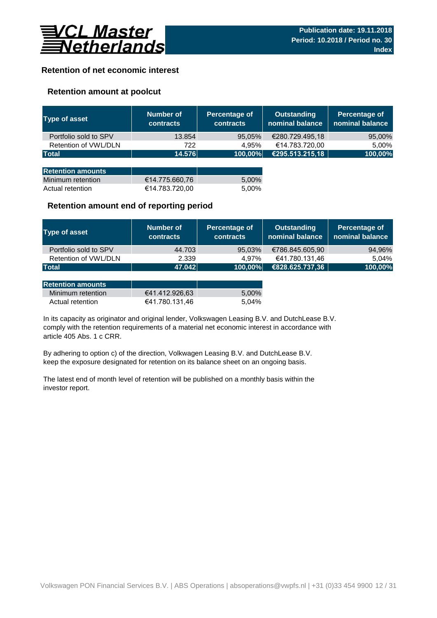

## **Retention of net economic interest**

## **Retention amount at poolcut**

| <b>Type of asset</b>     | <b>Number of</b><br><b>contracts</b> | Percentage of<br><b>contracts</b> | <b>Outstanding</b><br>nominal balance | Percentage of<br>nominal balance |
|--------------------------|--------------------------------------|-----------------------------------|---------------------------------------|----------------------------------|
| Portfolio sold to SPV    | 13.854                               | 95,05%                            | €280.729.495,18                       | 95,00%                           |
| Retention of VWL/DLN     | 722                                  | 4.95%                             | €14.783.720,00                        | 5,00%                            |
| <b>Total</b>             | 14.576                               | 100,00%                           | €295.513.215,18                       | 100,00%                          |
|                          |                                      |                                   |                                       |                                  |
| <b>Retention amounts</b> |                                      |                                   |                                       |                                  |
| Minimum retention        | €14.775.660,76                       | 5,00%                             |                                       |                                  |
| Actual retention         | €14.783.720,00                       | 5.00%                             |                                       |                                  |

### **Retention amount end of reporting period**

| Type of asset         | Number of<br><b>contracts</b> | Percentage of<br><b>contracts</b> | <b>Outstanding</b><br>nominal balance | Percentage of<br>nominal balance |
|-----------------------|-------------------------------|-----------------------------------|---------------------------------------|----------------------------------|
| Portfolio sold to SPV | 44.703                        | 95,03%                            | €786.845.605,90                       | 94,96%                           |
| Retention of VWL/DLN  | 2.339                         | 4.97%                             | €41.780.131,46                        | 5.04%                            |
| <b>Total</b>          | 47.042                        | 100,00%                           | €828.625.737,36                       | 100,00%                          |

| <b>Retention amounts</b> |                |       |
|--------------------------|----------------|-------|
| Minimum retention        | €41.412.926.63 | 5.00% |
| Actual retention         | €41.780.131.46 | 5.04% |

article 405 Abs. 1 c CRR. In its capacity as originator and original lender, Volkswagen Leasing B.V. and DutchLease B.V. comply with the retention requirements of a material net economic interest in accordance with

By adhering to option c) of the direction, Volkwagen Leasing B.V. and DutchLease B.V. keep the exposure designated for retention on its balance sheet on an ongoing basis.

The latest end of month level of retention will be published on a monthly basis within the investor report.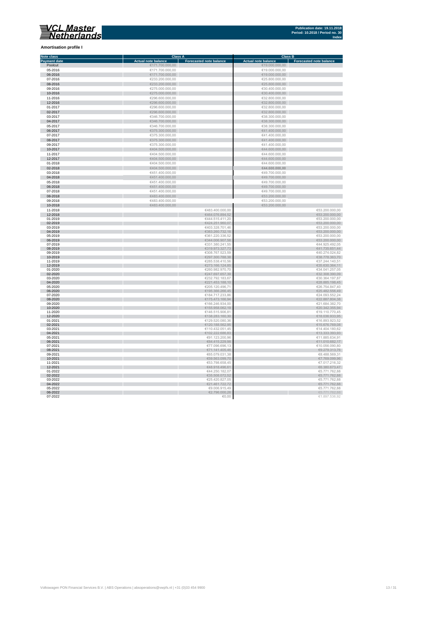**Amortisation profile I**

×

i. ÷

n.

#### **Class A Class B Class B Class B Class B Class B CLASS B CLASS B CLASS B CLASS B CLASS B CLASS B CLASS B CLASS B CLASS B CLASS B CLASS B CLASS B CLASS B CLASS B CLASS B CLASS B C Note class** ┓ **Payment date and the Sale of the Case of the Sale of the Sale of the Sale of the Sale of the Sale of the Sale of the Sale of the Sale of the Sale of the Sale of the Sale of the Sale of the Sale of the Sale of the Sale of** Poolcut ∈19.000.000,00 ∈171.700.000,00 ∈171.700.000,00 ∈19.000.000,00 ∈19.000.000,00 ∈19.000.000,00 ∈19.000.000,00 ∈19.000.000,00 ∈19.000.000,00 ∈19.000.000,00 ∈19.000.000,00 ∈19.000.000,00 ∈19.000.000,00 ∈19.000.000,00 ∈ 06-2016  $\textbf{C} = 231.000,000,00$ <br>  $\textbf{C} = 233.200,000,00$ <br>  $\textbf{C} = 233.200,000,00$ <br>  $\textbf{C} = 233.200,000,00$ <br>  $\textbf{C} = 275.000,000,00$ <br>  $\textbf{C} = 275.000,000,00$ <br>  $\textbf{C} = 275.000,000,00$ <br>  $\textbf{C} = 275.000,000,00$ 07-2016 €233.200.000,00 €25.800.000,00 08-2016 €233.200.000,00 €25.800.000,00 09-2016 €275.000.000,00 €30.400.000,00 Ì. 10-2016 €275.000.000,00 €30.400.000,00 11-2016 €296.600.000,00 €32.800.000,00 11-2016<br>  $C296.600.000,00$ <br>  $C296.600.000,00$ <br>  $C296.600.000,00$ <br>  $C296.600.000,00$ <br>  $C296.600.000,00$ <br>  $C296.600.000,00$ <br>  $C296.600.000,00$ <br>  $C296.600.000,00$ <br>  $C286.600.000,00$ <br>  $C286.600.000,00$ <br>  $C286.600.000,00$ <br>  $C$ 12-2016 €296.600.000,00 €32.800.000,00 01-2017 €296.600.000,00 €32.800.000,00  $6346.700.000,00$  ∈38.300.000,00 ∈38.300.000,00 × 0**4-2017** €38.300.000,00 €346.700.000,00 €346.700.000,00 €38.300.000,00 €38.300.000,00 €38.300.000,00 €38.300.000,00<br>05-2017 €38.300.000,00 €346.700.000,00 €346.700.000,00 €346.700.000,00 €346.700 €38.300.000,00 €38.300.0 п 06-2017 €375.300.000,00 €41.400.000,00  $\epsilon$ 375.300.000,00  $\epsilon$  (and the set of  $\epsilon$ 41.400.000,00  $\epsilon$ 0**8-2017 ∈**41.400.000,00 ∈375.300.000,00 ∈375.300.000,00 ∈41.400.000,00 ∈41.400.000,00 ∈41.400.000,00 ∈41.400.000,00 ∈41.400.000,00 ∈41.400.000,00 ∈41.400.000,00 ∈41.400.000,00 ∈41.400.000,00 ∈41.400.000,00 ∈41.400.000,00 п 10-2017 €404.500.000,00 €44.600.000,00 11-2017 €404.500.000,00 €404.500.000,00 €404.500.000,00 €404.500.000,00 €404.500.000,00 €44.600.000,00 €44.600.000,00 Ì. 12-2017 €404.500.000,00 €404.500.000,00 €404.500.000,00 €404.500.000,00 €44.600.000,00 €44.600.000,00  $01-2018$  ∈404.500.000,00 ∈404.500.000,00 ∈404.500.000,00 ∈404.600.000,00 × 02-2018 €404.500.000,00 **€44.600.000,00** 03-2018 €451.400.000,00 €49.700.000,00 п 04-2018 €451.400.000,00 €49.700.000,00  $65-2018$  ∈451.400.000,00 ∈451.400.000,00 ∈451.400.000,00 ∈49.700.000,00 × 06-2018 €49.700.000,00 €451.400.000,00 € 451.400.000,00 € 5451.400.000,00 € 5451.400.000,00 € 549.700.000,00 07-2018 €451.400.000,00 €49.700.000,00 Ė 08-2018 €483.400.000,00 €53.200.000,00  $6483.400.000,00$   $6483.400.000,00$   $653.200.000,00$ 10-2018 €483.400.000,00 €53.200.000,00 11-2018 ∈53.200.000,00 ∈53.200.000,00 ∈ €483.400.000,00 ∈ €483.400.000,00 ∈ €53.200.000,00 12-2018 €464.076.894,52 €53.200.000,00  $6444.515.411,20$  ∈53.200.000,00 ∈ €53.200.000,00 02-2019 €53.200.000,00 €53.200.000,00 €624.251.960,07 € 6424.251.960,07 € 6424.251.960,07 € 653.200.000,00  $03-2019$  ∈53.200.000,00 i. 04-2019 €383.260.732,18 €53.200.000,00  $0.2019$  ∈53.200.000,000,000 ∈53.200.000,000 ∈53.200.000,000 ∈53.200.000,000 ∈53.200.000,000 ∈53.200.000,000 ∈53.200.000,00 ×. 06-2019 €344.006.907,58 €53.200.000,00  $07$ -2019 ∈44.925.492,05 ∈44.925.492,05 × 08-2019 €319.973.327,73 €41.735.651,44  $09-2019$  ∈40.274.024,82 10-2019 €297.300.788,38 €38.778.363,70 11-2019 ∈37.244.140,51 ∈ €37.244.140,51 ∈ €37.244.140,51 ∈ €37.244.140,51 ∈ €37.244.140,51 ∈ €37.244.140,51 ∈ €37.244.140,51 ∈ ∈ 57.244.140,51 ∈ 57.244.140,51 ∈ 57.244.140,51 ∈ 57.244.140,51 ∈ 57.244.140,51 ∈ 57.244.140, 12-2019 €273.166.124,85 €35.630.364,11 01-2020 ∈34.041.257,05 €34.041.257,05 €34.041.257,05 €34.041.257,05 €34.041.257,05 €34.041.257,05 €34.041.257,05 п 02-2020 €32.308.390,09 €32.308.390,09 €32.308.390,09 €347.697.657,39  $\blacksquare$  $03-2020$  €30.364.197,87 €30.364.197,87 Ì. 04-2020 €28.885.198,45 €28.885.198,45 €28.885.198,45 €28.885.198,45 €28.885.198,45 €28.885.198,45 €28.885.198,45 05-2020 €205.120.496,71 €26.754.847,40 × 06-2020 €25.482.556,49  $\in$  5.56,49  $\in$  5.56,49  $\in$  5.366.266,45  $\in$  5.366.266,45  $\in$  5.366.265,45  $\in$  5.56,49  $\in$  5.56,49  $\in$  5.56,49  $\in$  5.56,49  $\in$  5.56,49  $\in$  5.56,49  $\in$  5.56,49  $\in$  5.56,49  $\in$  5.56,49  $07$ -2020 ∈24.093.552,24 r. 08-2020 €22.887.804,38 € 20.887.804,38 € 20.887.804,38 € 30.94 € 30.94 € 30.94 € 30.94 € 30.94 € 30.94 € 30.94 € 30.94 € 30.94 € 30.94 € 30.94 € 30.94 € 30.94 € 30.95 € 30.94 € 30.95 € 30.95 € 30.95 € 30.95 € 30.95 € 30.  $09-2020$  ∈21.684.382,70 п 10-2020 €155.958.062,19 €20.342.355,94 11-2020 €146.515.906,81 €19.110.770,45 12-2020 €138.283.160,30 €18.036.933,95 01-2021 ∈129.520.080,36 ∈129.520.080,36 ∈129.520.080,36 ∈129.520.080,36 ∈129.520.080,36 ∈16.893.923,52 02-2021 €15.676.769,08 €120.188.562,95 €120.188.562,95 €120.188.562,95 €120.188.562,95 €15.676.769,08  $03-2021$  ∈ 14.404.180,62 04-2021 €102.222.686,83 €13.333.393,93  $05$ - $2021$  ∈91.123.200,96 ∈91.123.200,96 ∈91.123.200,96 ∈91.123.200,96 ∈91.123.200,96 ∈91.123.200,96 ∈91.123.200,96 ∈91.123.200,96 ∈91.123.200,96 ∈91.123.200,96 ∈91.123.200,96 ∈91.123.200,96 ∈91.123.200,96 ∈91.123.200,9 06-2021 ∈11.010.682,17 ∈11.010.682,17 ∈11.010.682,17 ∈11.010.682,17  $07-2021$  ∈10.056.090,80 ∈ €77.096.696,13 08-2021  $\epsilon$ 71.141.405,46  $\epsilon$ 71.141.405,46  $\epsilon$ 71.141.405,46  $\epsilon$ 9.279.313,76  $\epsilon$ 9.279.313,76  $09-2021$  ∈65.079.031,38  $\epsilon$ 65.079.031,38 ∈8.488.569,31 ∈8.488.569,31 ∈8.488.569,31 ∈8.488.569,31 ∈8.488.569,31 ∈8.488.569,31 ∈8.488.569,31 ∈8.488.569,31 ∈8.488.569,31 ∈8.488.569,31 ∈8.488.569,31 ∈8.488.569,31 ∈8.488.56 10-2021 €7.769.099,96 €7.769.099,96 €7.769.099,96 €7.769.099,96 €89.563.099,70 € 7.769.099,96 € 7.769.099,96 € 11-2021 €7.017.216,32 12-2021 €6.380.673,47 €6.380.673,47 €6.380.673,47 €6.390.673,47 €6.390.673,47 €6.390.673,47 01-2022 ∈5.771.762,88 02-2022 €35.508.072,52 €5.771.762,88  $03$ -2022 ∈5.771.762,88 r. 04-2022 €21.461.722,72 €5.771.762,88

 $65.2022$  ∈9.006.915,49  $\epsilon$ 9.006.915,49  $\epsilon$ 9.006.915,49  $\epsilon$ 9.006.915,49  $\epsilon$ 5.771.762,88 06-2022  $\epsilon$ 2.796.000,26  $\epsilon$ 2.796.000,26  $\epsilon$ 2.796.000,26  $\epsilon$ 2.796.000,26  $\epsilon$  $07-2022$  ∈1.897.536,92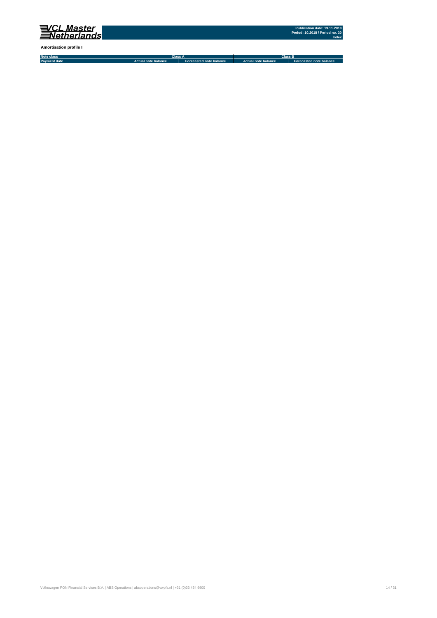

**Amortisation profile I**

**Note class Payment date Actual note balance Forecasted note balance Actual note balance2 Forecasted note balance3 Class A Class B**

Volkswagen PON Financial Services B.V. | ABS Operations | absoperations@vwpfs.nl | +31 (0)33 454 9900 14 / 31 (9) 14 / 31 (9) 14 / 31 (9) 14 / 31 (9) 14 / 31 (9) 14 / 31 (9) 14 / 31 (9) 14 / 31 (9) 14 / 31 (9) 14 / 31 (9)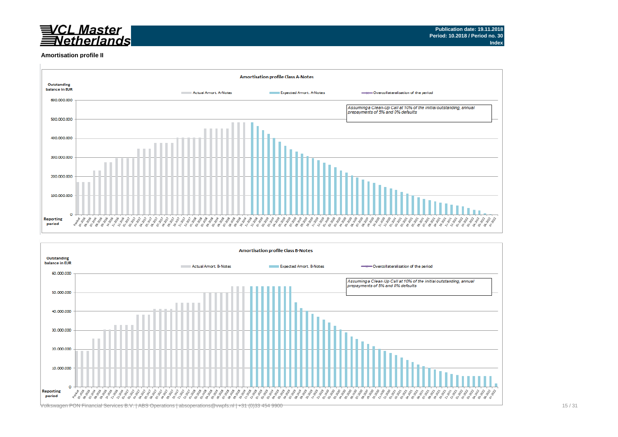

#### **Amortisation profile II**



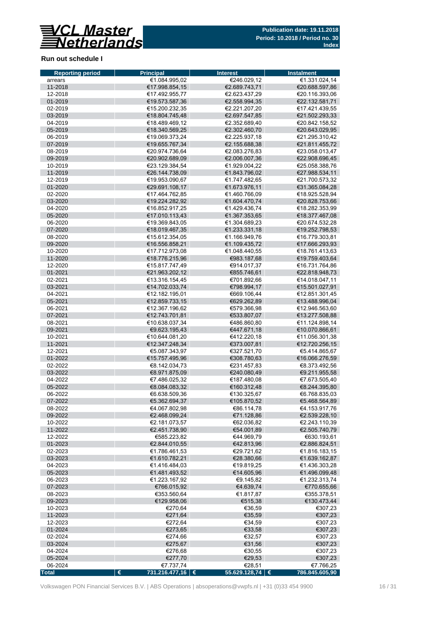

### **Run out schedule I**

| <b>Reporting period</b> | <b>Principal</b>                 | <b>Interest</b>            | Instalment                       |
|-------------------------|----------------------------------|----------------------------|----------------------------------|
| arrears                 | €1.084.995,02                    | €246.029,12                | €1.331.024,14                    |
| 11-2018                 | €17.998.854,15                   | €2.689.743,71              | €20.688.597,86                   |
| 12-2018                 | €17.492.955,77                   | €2.623.437,29              | €20.116.393,06                   |
| 01-2019                 | €19.573.587,36                   | €2.558.994,35              | €22.132.581,71                   |
| 02-2019                 | €15.200.232,35                   | €2.221.207,20              | €17.421.439,55                   |
| 03-2019                 | €18.804.745,48                   | €2.697.547,85              | €21.502.293,33                   |
| 04-2019                 | €18.489.469,12                   | €2.352.689,40              | €20.842.158,52                   |
| 05-2019                 | €18.340.569,25                   | €2.302.460,70              | €20.643.029,95                   |
| 06-2019                 | €19.069.373,24                   | €2.225.937,18              | €21.295.310,42                   |
| 07-2019                 | €19.655.767,34                   | €2.155.688,38              | €21.811.455,72                   |
| 08-2019                 | €20.974.736,64                   | €2.083.276,83              | €23.058.013,47                   |
| 09-2019                 | €20.902.689,09                   | €2.006.007,36              | €22.908.696,45                   |
| 10-2019                 | €23.129.384.54                   | €1.929.004.22              | €25.058.388,76                   |
| 11-2019                 | €26.144.738,09                   | €1.843.796,02              | €27.988.534,11                   |
| 12-2019                 | €19.953.090,67                   | €1.747.482,65              | €21.700.573,32                   |
| 01-2020                 | €29.691.108,17                   | €1.673.976,11              | €31.365.084,28                   |
| 02-2020                 | €17.464.762,85                   | €1.460.766,09              | €18.925.528,94                   |
| 03-2020                 | €19.224.282,92                   | €1.604.470,74              | €20.828.753,66                   |
| 04-2020                 | €16.852.917,25                   | €1.429.436,74              | €18.282.353,99                   |
| 05-2020                 | €17.010.113,43                   | €1.367.353,65              | €18.377.467,08                   |
| 06-2020                 | €19.369.843.05                   | €1.304.689.23              | €20.674.532,28                   |
| 07-2020                 | €18.019.467,35                   | €1.233.331.18              | €19.252.798,53                   |
| 08-2020                 | €15.612.354,05                   | €1.166.949,76              | €16.779.303,81                   |
| 09-2020                 | €16.556.858,21                   | €1.109.435,72              | €17.666.293,93                   |
| 10-2020                 | €17.712.973,08                   | €1.048.440.55              | €18.761.413,63                   |
| 11-2020                 | €18.776.215,96<br>€15.817.747.49 | €983.187,68<br>€914.017.37 | €19.759.403,64                   |
| 12-2020                 |                                  |                            | €16.731.764,86                   |
| 01-2021                 | €21.963.202,12                   | €855.746,61                | €22.818.948,73                   |
| 02-2021                 | €13.316.154,45<br>€14.702.033,74 | €701.892.66<br>€798.994,17 | €14.018.047,11                   |
| 03-2021<br>04-2021      | €12.182.195,01                   | €669.106,44                | €15.501.027,91                   |
| 05-2021                 |                                  | €629.262,89                | €12.851.301,45                   |
| 06-2021                 | €12.859.733,15<br>€12.367.196,62 | €579.366,98                | €13.488.996,04<br>€12.946.563,60 |
| 07-2021                 | €12.743.701,81                   | €533.807,07                | €13.277.508,88                   |
| 08-2021                 | €10.638.037,34                   | €486.860,80                | €11.124.898,14                   |
| 09-2021                 | €9.623.195,43                    | €447.671,18                | €10.070.866,61                   |
| 10-2021                 | €10.644.081,20                   | €412.220,18                | €11.056.301,38                   |
| 11-2021                 | €12.347.248,34                   | €373.007,81                | €12.720.256,15                   |
| 12-2021                 | €5.087.343,97                    | €327.521,70                | €5.414.865,67                    |
| 01-2022                 | €15.757.495,96                   | €308.780,63                | €16.066.276,59                   |
| 02-2022                 | €8.142.034,73                    | €231.457,83                | €8.373.492,56                    |
| 03-2022                 | €8.971.875,09                    | €240.080,49                | €9.211.955,58                    |
| 04-2022                 | €7.486.025,32                    | €187.480,08                | €7.673.505,40                    |
| 05-2022                 | €8.084.083,32                    | €160.312,48                | €8.244.395,80                    |
| 06-2022                 | €6.638.509,36                    | €130.325,67                | €6.768.835,03                    |
| 07-2022                 | €5.362.694,37                    | €105.870,52                | €5.468.564,89                    |
| 08-2022                 | €4.067.802,98                    | €86.114,78                 | €4.153.917,76                    |
| 09-2022                 | €2.468.099,24                    | €71.128,86                 | €2.539.228,10                    |
| 10-2022                 | €2.181.073,57                    | €62.036,82                 | €2.243.110,39                    |
| 11-2022                 | €2.451.738,90                    | €54.001,89                 | €2.505.740,79                    |
| 12-2022                 | €585.223,82                      | €44.969,79                 | €630.193,61                      |
| 01-2023                 | €2.844.010,55                    | €42.813,96                 | €2.886.824,51                    |
| 02-2023                 | €1.786.461,53                    | €29.721,62                 | €1.816.183,15                    |
| 03-2023                 | €1.610.782,21                    | €28.380,66                 | €1.639.162,87                    |
| 04-2023                 | €1.416.484,03                    | €19.819,25                 | €1.436.303,28                    |
| 05-2023                 | €1.481.493,52                    | €14.605,96                 | €1.496.099,48                    |
| 06-2023                 | €1.223.167,92                    | €9.145,82                  | €1.232.313,74                    |
| 07-2023                 | €766.015,92                      | €4.639,74                  | €770.655,66                      |
| 08-2023                 | €353.560,64                      | €1.817,87                  | €355.378,51                      |
| 09-2023                 | €129.958,06                      | €515,38                    | €130.473,44                      |
| 10-2023                 | €270,64                          | €36,59                     | €307,23                          |
| 11-2023                 | €271,64                          | €35,59                     | €307,23                          |
| 12-2023                 | €272,64                          | €34,59                     | €307,23                          |
| 01-2024                 | €273,65                          | €33,58                     | €307,23                          |
| 02-2024                 | €274,66                          | €32,57                     | €307,23                          |
| 03-2024                 | €275,67                          | €31,56                     | €307,23                          |
| 04-2024<br>05-2024      | €276,68<br>€277,70               | €30,55<br>€29,53           | €307,23                          |
| 06-2024                 | €7.737,74                        | €28,51                     | €307,23<br>€7.766,25             |
| <b>Total</b>            | €<br>731.216.477,16 €            | 55.629.128,74 $\in$        | 786.845.605,90                   |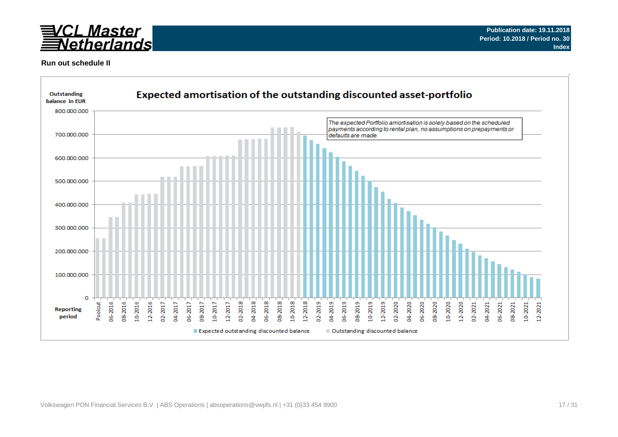

### **Run out schedule II**

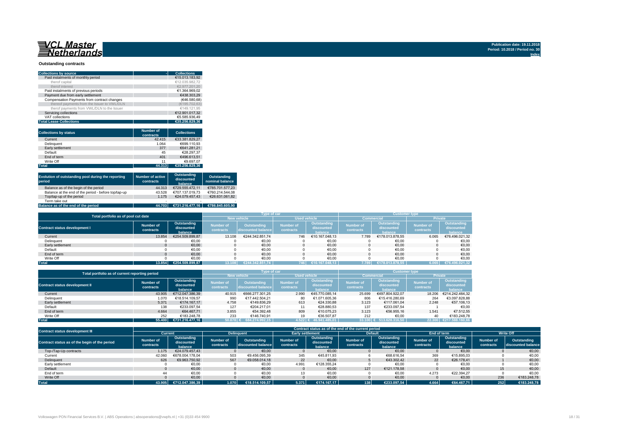#### **Outstanding contracts**

| <b>Collections by source</b>                | <b>Collections</b> |
|---------------------------------------------|--------------------|
| Paid instalments of monthly period          | €15.013.183.92     |
| therof capital                              | €12.035.982.72     |
| therof interest                             | €2.977.201.20      |
| Paid instalments of previous periods        | €1.364.969.02      |
| Payment due from early settlement           | €438.303.29        |
| Compensation Payments from contract changes | (€46.580.68)       |
| thereof payments from the Issuer to VWL/DLN | (€195.702.63)      |
| therof payments from VWL/DLN to the Issuer  | €149.121.95        |
| Servicing collections                       | €12.901.017.32     |
| VAT collections                             | €5.585.936.49      |
| <b>Total Lease Collections</b>              | €35.256.829.36     |

| <b>Collections by status</b> | <b>Number of</b><br>contracts | <b>Collections</b> |
|------------------------------|-------------------------------|--------------------|
| Current                      | 42.415                        | €33.381.829.27     |
| <b>Delinquent</b>            | 1.064                         | €699.110.93        |
| Early settlement             | 377                           | €641.281.21        |
| Default                      | 45                            | €28.297.37         |
| End of term                  | 401                           | €496.613.51        |
| Write Off                    | 11                            | €9.697.07          |
| <b>Total</b>                 | 44.313                        | €35.256.829.36     |

| Evolution of outstanding pool during the reporting<br>period | <b>Number of active</b><br>contracts | Outstanding<br>discounted<br>balance | Outstanding<br>nominal balance |
|--------------------------------------------------------------|--------------------------------------|--------------------------------------|--------------------------------|
| Balance as of the begin of the period                        | 44.313                               | €729.555.472.11                      | €785.701.577.23                |
| Balance at the end of the period - before top/tap-up         | 43.528                               | €707.137.019.73                      | €760.214.544.08                |
| Top/tap-up of the period                                     | 1.175                                | €24.079.457.43                       | €26.631.061.82                 |
| Term take out                                                | $\overline{\phantom{a}}$             |                                      |                                |
| Balance as of the end of the period                          | 44.703                               | €731.216.477.16                      | €786.845.605.90                |

| Total portfolio as of pool cut date  |                        |                                      |                               | Type of car                       |                               |                                      | <b>Customer type</b>   |                                      |                               |                                      |  |  |
|--------------------------------------|------------------------|--------------------------------------|-------------------------------|-----------------------------------|-------------------------------|--------------------------------------|------------------------|--------------------------------------|-------------------------------|--------------------------------------|--|--|
|                                      |                        |                                      | <b>New vehicle</b>            |                                   | <b>Used vehicle</b>           |                                      |                        | <b>Commercial</b>                    | Private                       |                                      |  |  |
| <b>Contract status development I</b> | Number of<br>contracts | Outstanding<br>discounted<br>balance | <b>Number of</b><br>contracts | Outstanding<br>discounted balance | <b>Number of</b><br>contracts | Outstanding<br>discounted<br>halance | Number of<br>contracts | Outstanding<br>discounted<br>halance | <b>Number of</b><br>contracts | Outstanding<br>discounted<br>balance |  |  |
| Current                              | 13.854                 | €254.509.899.87                      | 13.108                        | €244.342.851.74                   | 746                           | €10.167.048.13                       | 7.789                  | €178.013.878.55                      | 6.065                         | €76.496.021,32                       |  |  |
| Delinquent                           |                        | €0,00                                |                               | €0,00                             |                               | €0,00                                |                        | €0,00                                |                               | €0,00                                |  |  |
| Early settlement                     |                        | €0,00                                |                               | €0,00                             |                               | €0,00                                |                        | €0,00                                |                               | €0,00                                |  |  |
| Default                              |                        | €0,00                                |                               | €0,00                             |                               | €0,00                                |                        | €0,00                                |                               | €0,00                                |  |  |
| End of term                          |                        | €0,00                                |                               | €0.00                             |                               | €0.00                                |                        | €0.00                                |                               | €0.00                                |  |  |
| Write Off                            |                        | €0.00                                |                               | €0.00                             |                               | €0.00                                |                        | €0.00                                |                               | €0.00                                |  |  |
| <b>Total</b>                         | 13.854                 | €254.509.899.87                      |                               | €244.342.851.74                   | 746                           | €10.167.048.13                       | 7.789                  | €178.013.878.55                      | 6.065                         | €76.496.021.32                       |  |  |

| Total portfolio as of current reporting period |                        |                                      |                               | <b>Type of car</b>                       |                                      |                                      | <b>Customer type</b>          |                                      |                               |                                             |  |  |
|------------------------------------------------|------------------------|--------------------------------------|-------------------------------|------------------------------------------|--------------------------------------|--------------------------------------|-------------------------------|--------------------------------------|-------------------------------|---------------------------------------------|--|--|
|                                                |                        |                                      |                               |                                          | <b>Used vehicle</b>                  |                                      |                               | <b>Commercial</b>                    | <b>Private</b>                |                                             |  |  |
| <b>Contract status development II</b>          | Number of<br>contracts | Outstanding<br>discounted<br>balance | <b>Number of</b><br>contracts | <b>Outstanding</b><br>discounted balance | <b>Number of</b><br><b>contracts</b> | Outstanding<br>discounted<br>balance | <b>Number of</b><br>contracts | Outstanding<br>discounted<br>halance | <b>Number of</b><br>contracts | <b>Outstanding</b><br>discounted<br>balance |  |  |
| Current                                        | 43.905                 | €712.047.386.39                      | 40.915                        | €666.277.301.25                          | 2.990                                | €45.770.085.14                       | 25.699                        | €497.804.922.07                      | 18,206                        | €214.242.464.32                             |  |  |
| Delinquent                                     | 1.070                  | €18.514.109.57                       | 990                           | €17.442.504.21                           | 80                                   | €1.071.605.36                        | 806                           | €15.416.280.69                       | 264                           | €3.097.828.88                               |  |  |
| Early settlement                               | 5.371                  | €174.167.17                          | 4.758                         | €149.836.29                              | 613                                  | €24.330.88                           | 3.123                         | €117.061.04                          | 2.248                         | €57,106.13                                  |  |  |
| Default                                        | 138                    | €233.097.54                          | 127                           | €204.217.01                              |                                      | €28.880.53                           | 137                           | €233.097.54                          |                               | €0.00                                       |  |  |
| End of term                                    | 4.664                  | €64.467.71                           | 3.855                         | €54.392.48                               | 809                                  | €10.075.23                           | 3.123                         | €56.955.16                           | 1.541                         | €7.512.55                                   |  |  |
| Write Off                                      | 252                    | €183.248.78                          | 233                           | €146.740.91                              | 19                                   | €36.507.87                           | 212                           | €0.00                                | 40                            | €183.248.78                                 |  |  |
| <b>Total</b>                                   | 55,400                 | €731.216.477.16                      | $50.878$ €                    | 684.274.992.15                           | $1.522 \in$                          | 46.941.485.01                        | 33.100                        | 513.628.316.50                       |                               | 22.300 €217.588.160.66                      |  |  |

| Contract status development III               |                        |                                       |                               |                                              |                        |                                      | Contract status as of the end of the current period |                                      |                        |                                      |                        |                                   |
|-----------------------------------------------|------------------------|---------------------------------------|-------------------------------|----------------------------------------------|------------------------|--------------------------------------|-----------------------------------------------------|--------------------------------------|------------------------|--------------------------------------|------------------------|-----------------------------------|
|                                               | Current                |                                       |                               | <b>Delinguent</b><br><b>Early settlement</b> |                        |                                      |                                                     | <b>Default</b>                       | End of term            |                                      | <b>Write Off</b>       |                                   |
| Contract status as of the begin of the period | Number of<br>contracts | Outstanding<br>discounted<br>balance. | <b>Number of</b><br>contracts | Outstanding<br>discounted balance            | Number of<br>contracts | Outstanding<br>discounted<br>balance | Number of<br>contracts                              | Outstanding<br>discounted<br>balance | Number of<br>contracts | Outstanding<br>discounted<br>balance | Number of<br>contracts | Outstanding<br>discounted balance |
| Top-/Tap-Up contracts                         | 1.175                  | €24.079.457.43                        |                               | €0.00                                        |                        | €0.00                                |                                                     | €0.00                                |                        | €0.00                                |                        | €0,00                             |
| Current                                       | 42.060                 | €678.004.178.04                       | 503                           | €9.456.095,39                                | 345                    | €45.811.93                           |                                                     | €68.616,54                           | 369                    | €15.895,03                           |                        | €0,00                             |
| Delinquent                                    | 626                    | €9.963.750.92                         | 567                           | €9.058.014.18                                | 22                     | €0.00                                |                                                     | €43.302.42                           | 22                     | €26.178.41                           |                        | €0,00                             |
| Early settlement                              |                        | €0,00                                 |                               | €0,00                                        | 4.991                  | €128.355,24                          |                                                     | €0,00                                |                        | €0,00                                |                        | €0,00                             |
| Default                                       |                        | €0.00                                 |                               | €0,00                                        |                        | €0,00                                | 127                                                 | €121.178.58                          |                        | €0.00                                | 15                     | €0,00                             |
| End of term                                   | 44                     | €0.00                                 |                               | €0,00                                        |                        | €0,00                                |                                                     | €0,00                                | 4.273                  | €22.394.27                           |                        | €0.00                             |
| Write Off                                     |                        | €0.00                                 |                               | €0,00                                        |                        | €0,00                                |                                                     | €0,00                                |                        | €0,00                                | 236                    | €183.248.78                       |
| <b>Total</b>                                  | 43.905                 | €712.047.386.39                       | 1.070                         | €18.514.109.57                               | 5.371                  | €174.167.17                          | 138                                                 | €233.097.54                          | 4.664                  | €64.467.71                           | 252                    | €183.248.78                       |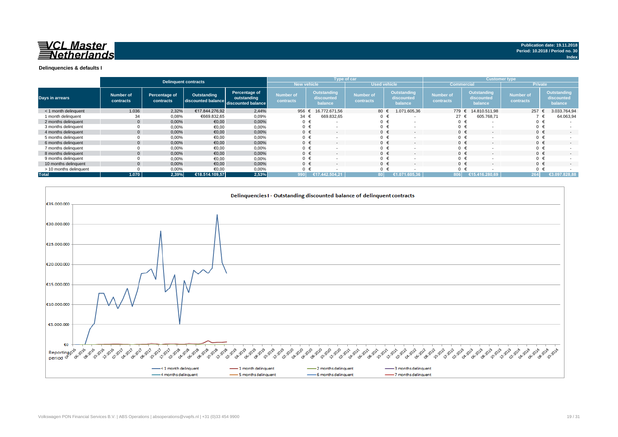

|                        |                        |                            | <b>Delinquent contracts</b>                          |                              | Type of car                   |                                      |                          |                               |   |                                             | <b>Customer type</b>          |         |                                      |                               |         |                                      |
|------------------------|------------------------|----------------------------|------------------------------------------------------|------------------------------|-------------------------------|--------------------------------------|--------------------------|-------------------------------|---|---------------------------------------------|-------------------------------|---------|--------------------------------------|-------------------------------|---------|--------------------------------------|
|                        |                        |                            |                                                      |                              | <b>New vehicle</b>            |                                      |                          | <b>Used vehicle</b>           |   |                                             | <b>Commercial</b>             |         |                                      | <b>Private</b>                |         |                                      |
| <b>Days in arrears</b> | Number of<br>contracts | Percentage of<br>contracts | Outstanding<br>discounted balance discounted balance | Percentage of<br>outstanding | <b>Number of</b><br>contracts | Outstanding<br>discounted<br>balance |                          | <b>Number of</b><br>contracts |   | <b>Outstanding</b><br>discounted<br>balance | <b>Number of</b><br>contracts |         | Outstanding<br>discounted<br>balance | <b>Number of</b><br>contracts |         | Outstanding<br>discounted<br>balance |
| < 1 month delinguent   | 1.036                  | 2,32%                      | €17.844.276.92                                       | 2,44%                        | 956                           | 16.772.671.56                        |                          | 80                            |   | 1.071.605,36                                | 779 €                         |         | 14.810.511.98                        |                               | 257     | 3.033.764,94                         |
| 1 month delinguent     | 34                     | 0,08%                      | €669.832,65                                          | 0,09%                        | 34                            | 669.832,65                           |                          | $0 \in$                       |   |                                             | 27 $\epsilon$                 |         | 605.768,71                           |                               |         | 64.063,94                            |
| 2 months delinquent    |                        | 0.00%                      | €0,00                                                | 0,00%                        | $0 \in$                       |                                      |                          | $0 \in$                       |   |                                             | $0 \in$                       |         |                                      |                               | 0 €     |                                      |
| 3 months delinquent    |                        | 0,00%                      | €0,00                                                | 0,00%                        |                               |                                      |                          | $0 \in$                       |   |                                             | 0                             |         |                                      |                               | $0 \in$ |                                      |
| 4 months delinquent    |                        | 0.00%                      | €0,00                                                | 0,00%                        | $0 \in$                       | $\overline{\phantom{a}}$             |                          | $0 \in$                       |   | $\overline{\phantom{a}}$                    |                               | $0 \in$ |                                      |                               | $0 \in$ |                                      |
| 5 months delinquent    |                        | 0,00%                      | €0,00                                                | 0,00%                        |                               |                                      |                          | $0 \in$                       |   | $\overline{\phantom{0}}$                    | 0 <sup>1</sup>                |         |                                      |                               | $0 \in$ |                                      |
| 6 months delinquent    |                        | 0,00%                      | €0,00                                                | 0,00%                        | $0 \in$                       |                                      |                          | $0 \in$                       |   | $\overline{\phantom{a}}$                    |                               | $0 \in$ |                                      |                               | $0 \in$ |                                      |
| 7 months delinquent    |                        | 0,00%                      | €0,00                                                | 0,00%                        |                               |                                      |                          | $0 \in$                       |   | $\overline{\phantom{0}}$                    | 0 <sub>0</sub>                |         |                                      |                               | $0 \in$ |                                      |
| 8 months delinquent    |                        | 0,00%                      | €0,00                                                | 0,00%                        | $0 \in$                       |                                      |                          | $0 \in$                       |   | $\overline{\phantom{a}}$                    |                               | $0 \in$ |                                      |                               | $0 \in$ | $\overline{a}$                       |
| 9 months delinquent    |                        | 0,00%                      | €0,00                                                | 0,00%                        |                               |                                      |                          |                               | € | $\overline{\phantom{0}}$                    | 0 <sub>0</sub>                |         |                                      |                               | $0 \in$ |                                      |
| 10 months delinquent   |                        | 0,00%                      | €0,00                                                | 0,00%                        | $0 \in$                       |                                      | $\overline{\phantom{a}}$ | $0 \in$                       |   | $\overline{\phantom{a}}$                    |                               | $0 \in$ |                                      |                               | $0 \in$ | $\sim$                               |
| > 10 months delinquent |                        | 0,00%                      | €0.00                                                | 0,00%                        |                               |                                      |                          |                               |   | $\overline{\phantom{a}}$                    | $\Omega$                      |         |                                      |                               | $0 \in$ |                                      |
| <b>Total</b>           | 1.070                  | 2,39%                      | €18.514.109,57                                       | 2,53%                        | 990                           | 17.442.504.21                        |                          |                               |   | 05.36                                       | 1608                          |         | €15.<br>416.280.69'                  |                               | 264     | €3.097.828,88                        |

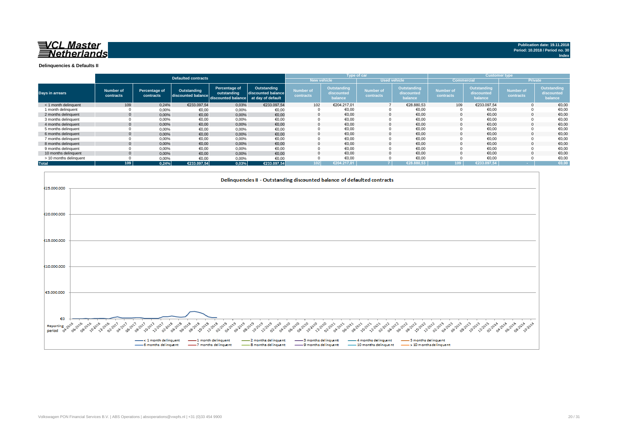

**Index**

**Delinquencies & Defaults II**

|                        |                        |                            |                                   |                                                                      |                                   |                               |                                      | Type of car                   |                                      |                               |                                      | <b>Customer type</b>          |                                      |
|------------------------|------------------------|----------------------------|-----------------------------------|----------------------------------------------------------------------|-----------------------------------|-------------------------------|--------------------------------------|-------------------------------|--------------------------------------|-------------------------------|--------------------------------------|-------------------------------|--------------------------------------|
|                        |                        |                            | Defaulted contracts               |                                                                      |                                   | <b>New vehicle</b>            |                                      | <b>Used vehicle</b>           |                                      | <b>Commercial</b>             |                                      |                               | <b>Private</b>                       |
| <b>Days in arrears</b> | Number of<br>contracts | Percentage of<br>contracts | Outstanding<br>discounted balance | Percentage of<br>outstanding<br>discounted balance at day of default | Outstanding<br>discounted balance | <b>Number of</b><br>contracts | Outstanding<br>discounted<br>balance | <b>Number of</b><br>contracts | Outstanding<br>discounted<br>balance | <b>Number of</b><br>contracts | Outstanding<br>discounted<br>balance | <b>Number of</b><br>contracts | Outstanding<br>discounted<br>balance |
| < 1 month delinquent   | 109                    | 0.24%                      | €233.097.54                       | 0,03%                                                                | €233.097.54                       | 102                           | €204.217.01                          |                               | €28.880,53                           | 109                           | €233.097,54                          |                               | €0,00                                |
| 1 month delinquent     |                        | 0,00%                      | €0,00                             | 0,00%                                                                | €0,00                             |                               | €0,00                                |                               | €0,00                                |                               | €0,00                                |                               | €0,00                                |
| 2 months delinguent    | $\mathbf{0}$           | 0,00%                      | €0.00                             | 0,00%                                                                | €0,00                             |                               | €0.00                                | $\Omega$                      | €0.00                                |                               | €0.00                                |                               | €0,00                                |
| 3 months delinquent    |                        | 0,00%                      | €0,00                             | 0,00%                                                                | €0,00                             |                               | €0,00                                |                               | €0,00                                |                               | €0,00                                |                               | €0,00                                |
| 4 months delinquent    | $\mathbf{0}$           | 0,00%                      | €0,00                             | 0,00%                                                                | €0,00                             |                               | €0.00                                |                               | €0.00                                |                               | €0.00                                |                               | €0,00                                |
| 5 months delinguent    |                        | 0,00%                      | €0,00                             | 0,00%                                                                | €0,00                             |                               | €0.00                                |                               | €0.00                                |                               | €0.00                                |                               | €0,00                                |
| 6 months delinquent    | $\Omega$               | 0,00%                      | €0,00                             | 0,00%                                                                | €0,00                             |                               | €0,00                                |                               | €0,00                                |                               | €0,00                                |                               | €0,00                                |
| 7 months delinquent    |                        | 0,00%                      | €0,00                             | 0,00%                                                                | €0,00                             |                               | €0,00                                |                               | €0,00                                |                               | €0,00                                |                               | €0,00                                |
| 8 months delinquent    | $\mathbf{0}$           | 0,00%                      | €0,00                             | 0,00%                                                                | €0,00                             |                               | €0.00                                |                               | €0.00                                |                               | €0.00                                |                               | €0.00                                |
| 9 months delinquent    |                        | 0,00%                      | €0,00                             | 0,00%                                                                | €0,00                             |                               | €0,00                                |                               | €0,00                                |                               | €0,00                                |                               | €0,00                                |
| 10 months delinguent   | $\Omega$               | 0,00%                      | €0,00                             | 0,00%                                                                | €0,00                             |                               | €0.00                                |                               | €0.00                                |                               | €0.00                                |                               | €0,00                                |
| > 10 months delinquent |                        | 0,00%                      | €0,00                             | 0,00%                                                                | €0,00                             |                               | €0.00                                |                               | €0,00                                |                               | €0,00                                |                               | €0,00                                |
| <b>Total</b>           | 109                    | 0.24%                      | €233.097.54                       | 0,03%                                                                | €233.097,54                       | 102                           | €204.217.01                          |                               | €28.880.53                           | 109                           | €233.097.54                          |                               | €0,00                                |

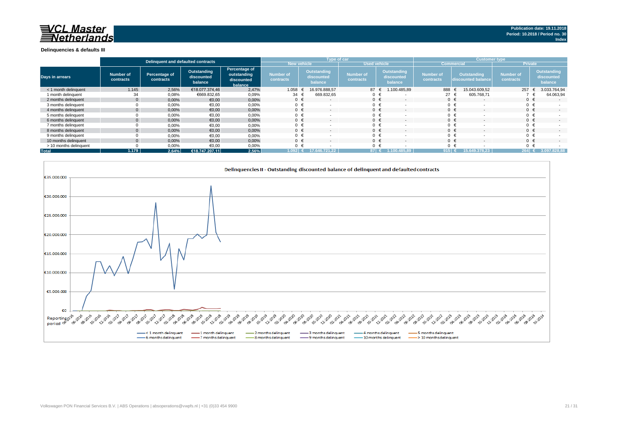#### **Delinquencies & defaults III**

|                        |                        | Delinguent and defaulted contracts |                                      |                                                       |                                      |                                      | Type of car                   |                                             | <b>Customer type</b>   |                                          |                               |                                      |  |
|------------------------|------------------------|------------------------------------|--------------------------------------|-------------------------------------------------------|--------------------------------------|--------------------------------------|-------------------------------|---------------------------------------------|------------------------|------------------------------------------|-------------------------------|--------------------------------------|--|
|                        |                        |                                    |                                      |                                                       | <b>New vehicle</b>                   |                                      | <b>Used vehicle</b>           |                                             |                        | <b>Commercia</b>                         | <b>Private</b>                |                                      |  |
| <b>Days in arrears</b> | Number of<br>contracts | Percentage of<br>contracts         | Outstanding<br>discounted<br>balance | Percentage of<br>outstanding<br>discounted<br>balance | <b>Number of</b><br><b>contracts</b> | Outstanding<br>discounted<br>balance | <b>Number of</b><br>contracts | <b>Outstanding</b><br>discounted<br>balance | Number of<br>contracts | <b>Outstanding</b><br>discounted balance | <b>Number of</b><br>contracts | Outstanding<br>discounted<br>balance |  |
| < 1 month delinguent   | 1.145                  | 2,56%                              | €18.077.374.46                       | 2,47%                                                 | 1.058                                | 16.976.888.57                        | 87 €                          | 1.100.485,89                                | 888                    | 15.043.609.52                            | 257                           | 3.033.764,94                         |  |
| 1 month delinguent     | 34                     | 0,08%                              | €669.832,65                          | 0,09%                                                 | 34                                   | 669.832,65                           |                               |                                             | 27 <sub>1</sub>        | 605.768.71                               |                               | 64.063,94                            |  |
| 2 months delinguent    |                        | 0.00%                              | €0,00                                | 0,00%                                                 | $0 \in$                              | $\sim$                               | $0 \in$                       | $\overline{\phantom{a}}$                    | $0 \in$                | $\overline{\phantom{a}}$                 |                               | $\sim$                               |  |
| 3 months delinguent    |                        | 0,00%                              | €0,00                                | 0,00%                                                 | $0 \cdot$                            |                                      |                               |                                             |                        | $0 \in$                                  |                               |                                      |  |
| 4 months delinquent    |                        | 0.00%                              | €0,00                                | 0,00%                                                 | $0 \in$                              | $\sim$                               | $0 \in$                       |                                             |                        | $0 \in$                                  | $0 \in$                       | $\sim$                               |  |
| 5 months delinquent    |                        | 0,00%                              | €0,00                                | 0,00%                                                 | 0                                    |                                      | $0 \in$                       |                                             |                        | $0 \in$                                  |                               |                                      |  |
| 6 months delinguent    |                        | 0,00%                              | €0,00                                | 0,00%                                                 | $0 \in$                              |                                      | $0 \in$                       |                                             |                        | $0 \in$                                  |                               | $\sim$                               |  |
| 7 months delinquent    |                        | 0,00%                              | €0,00                                | 0,00%                                                 | $\Omega$                             |                                      |                               |                                             |                        | $0 \in$                                  |                               |                                      |  |
| 8 months delinguent    |                        | 0,00%                              | €0,00                                | 0,00%                                                 | $\Omega$                             |                                      |                               |                                             |                        | $0 \in$                                  |                               | $\overline{\phantom{a}}$             |  |
| 9 months delinquent    |                        | 0,00%                              | €0,00                                | 0,00%                                                 | $\Omega$                             |                                      | $0 \in$                       |                                             |                        | $0 \in$                                  |                               |                                      |  |
| 10 months delinguent   |                        | 0,00%                              | €0,00                                | 0,00%                                                 | $\Omega$                             |                                      | $0 \in$                       |                                             | $0 \in$                |                                          |                               | $\overline{\phantom{a}}$             |  |
| > 10 months delinquent |                        | 0,00%                              | €0,00                                | 0,00%                                                 | $\Omega$                             |                                      |                               |                                             |                        |                                          |                               |                                      |  |
| <b>Total</b>           | 1.179                  | 2,64%                              | €18.747.207.11                       | 2,56%                                                 | 1.092 €                              | 721.22                               | 87 $\epsilon$                 | 0.485.89                                    | 915                    | 15.64<br>9.378.23                        | $264 \in$                     | 3.097.828,88                         |  |

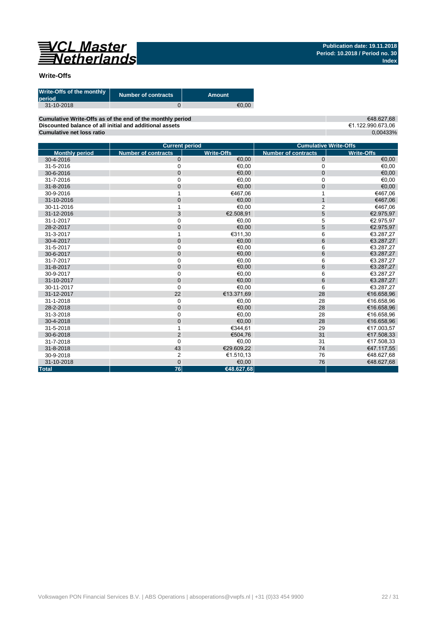

### **Write-Offs**

| Write-Offs of the monthly<br>period | <b>Number of contracts</b> | Amount |
|-------------------------------------|----------------------------|--------|
| 31-10-2018                          |                            | €0.00  |

**Cumulative Write-Offs as of the end of the monthly period Discounted balance of all initial and additional assets Cumulative net loss ratio**

€48.627,68 €1.122.990.673,06 0,00433%

|                       | <b>Current period</b>      |                   |                            | <b>Cumulative Write-Offs</b> |
|-----------------------|----------------------------|-------------------|----------------------------|------------------------------|
| <b>Monthly period</b> | <b>Number of contracts</b> | <b>Write-Offs</b> | <b>Number of contracts</b> | <b>Write-Offs</b>            |
| 30-4-2016             | $\mathbf 0$                | €0.00             | $\mathbf 0$                | €0,00                        |
| 31-5-2016             | 0                          | €0,00             | $\mathbf 0$                | €0,00                        |
| 30-6-2016             | $\mathbf{0}$               | €0,00             | $\mathbf{0}$               | €0,00                        |
| 31-7-2016             | $\mathbf 0$                | €0,00             | $\mathbf 0$                | €0,00                        |
| 31-8-2016             | $\mathbf 0$                | €0.00             | $\mathbf 0$                | €0,00                        |
| 30-9-2016             | 1                          | €467,06           |                            | €467,06                      |
| 31-10-2016            | $\mathbf 0$                | €0,00             | $\mathbf{1}$               | €467,06                      |
| 30-11-2016            |                            | €0.00             | $\overline{2}$             | €467,06                      |
| 31-12-2016            | 3                          | €2.508,91         | 5                          | €2.975,97                    |
| 31-1-2017             | $\mathbf 0$                | €0,00             | 5                          | €2.975,97                    |
| 28-2-2017             | $\overline{0}$             | €0.00             | 5                          | €2.975,97                    |
| 31-3-2017             |                            | €311,30           | 6                          | €3.287,27                    |
| 30-4-2017             | $\mathbf 0$                | €0,00             | $6\phantom{1}$             | €3.287,27                    |
| 31-5-2017             | 0                          | €0,00             | 6                          | €3.287,27                    |
| 30-6-2017             | $\overline{0}$             | €0,00             | 6                          | €3.287,27                    |
| 31-7-2017             | $\mathbf 0$                | €0,00             | 6                          | €3.287,27                    |
| 31-8-2017             | $\mathbf 0$                | €0,00             | $6\phantom{1}6$            | €3.287,27                    |
| 30-9-2017             | $\mathbf 0$                | €0,00             | 6                          | €3.287,27                    |
| 31-10-2017            | $\mathbf{0}$               | €0.00             | $6\phantom{1}$             | €3.287,27                    |
| 30-11-2017            | $\mathbf 0$                | €0,00             | 6                          | €3.287,27                    |
| 31-12-2017            | 22                         | €13.371,69        | 28                         | €16.658,96                   |
| 31-1-2018             | $\mathbf 0$                | €0,00             | 28                         | €16.658,96                   |
| 28-2-2018             | $\mathbf 0$                | €0.00             | 28                         | €16.658,96                   |
| 31-3-2018             | 0                          | €0,00             | 28                         | €16.658,96                   |
| 30-4-2018             | $\mathbf 0$                | €0,00             | 28                         | €16.658,96                   |
| 31-5-2018             | 1                          | €344.61           | 29                         | €17.003,57                   |
| 30-6-2018             | $\overline{2}$             | €504,76           | 31                         | €17.508,33                   |
| 31-7-2018             | $\mathbf 0$                | €0,00             | 31                         | €17.508,33                   |
| 31-8-2018             | 43                         | €29.609.22        | 74                         | €47.117,55                   |
| 30-9-2018             | 2                          | €1.510,13         | 76                         | €48.627,68                   |
| 31-10-2018            | $\mathbf 0$                | €0,00             | 76                         | €48.627,68                   |
| <b>Total</b>          | 76                         | €48.627,68        |                            |                              |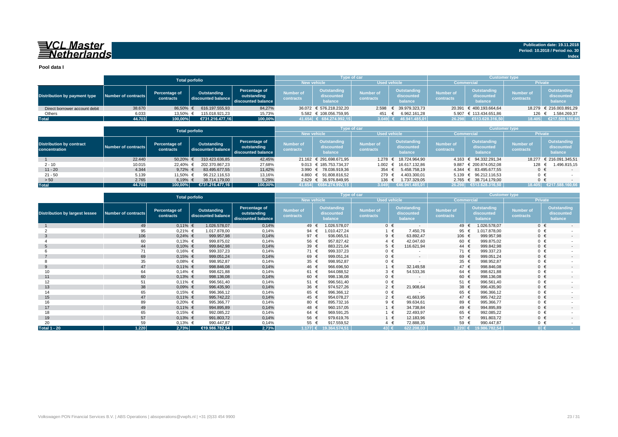## VCL Master<br>ENetherlands

**Pool data I**

|                               |                     |                            | <b>Total porfolio</b>             |                                                    |                               | <b>Type of car</b>                        |                           |                                      | <b>Customer type</b>          |                                             |                               |                                             |
|-------------------------------|---------------------|----------------------------|-----------------------------------|----------------------------------------------------|-------------------------------|-------------------------------------------|---------------------------|--------------------------------------|-------------------------------|---------------------------------------------|-------------------------------|---------------------------------------------|
|                               |                     |                            |                                   |                                                    |                               | <b>Used vehicle</b><br><b>New vehicle</b> |                           |                                      | <b>Commercial</b>             |                                             | <b>Private</b>                |                                             |
| Distribution by payment type  | Number of contracts | Percentage of<br>contracts | Outstanding<br>discounted balance | Percentage of<br>outstanding<br>discounted balance | <b>Number of</b><br>contracts | Outstanding<br>discounted<br>balance      | Number of<br>contracts    | Outstanding<br>discounted<br>balance | <b>Number of</b><br>contracts | <b>Outstanding</b><br>discounted<br>balance | <b>Number of</b><br>contracts | <b>Outstanding</b><br>discounted<br>balance |
| Direct borrower account debit | 38.670              | 86.50%                     | 616.197.555.93                    | 84,27%                                             |                               | 36.072 € 576.218.232.20                   | 2.598                     | € 39.979.323,73                      |                               | 20.391 € 400.193.664,64                     |                               | 18.279 € 216.003.891,29                     |
| Others                        | 6.033               | 13.50% €                   | 115.018.921.23                    | 15,73%                                             |                               | 5.582 € 108.056.759,95                    | 451                       | 6.962.161,28                         |                               | 5.907 € 113.434.651.86                      | 126                           | 1.584.269,37                                |
| <b>Total</b>                  | 44.703              | 100,00%                    | €731.216.477.16                   | 100,00%                                            |                               | 41.654 € 684.274.992,15                   | $3.049$ $\leftrightarrow$ | 46.941.485.01                        | 26.298                        | €513.628.316.50                             | 18.405                        | €217.588.160,66                             |

|                                                  |                     | <b>Total porfolio</b>      |                                   |                                                    |                               | Type of car                          |                                      |                                      | <b>Customer type</b>          |                                             |                               |                                      |
|--------------------------------------------------|---------------------|----------------------------|-----------------------------------|----------------------------------------------------|-------------------------------|--------------------------------------|--------------------------------------|--------------------------------------|-------------------------------|---------------------------------------------|-------------------------------|--------------------------------------|
|                                                  |                     |                            |                                   |                                                    | <b>New vehicle</b>            |                                      | <b>Used vehicle</b>                  |                                      | <b>Commercial</b>             |                                             | <b>Private</b>                |                                      |
| <b>Distribution by contract</b><br>concentration | Number of contracts | Percentage of<br>contracts | Outstanding<br>discounted balance | Percentage of<br>outstanding<br>discounted balance | <b>Number of</b><br>contracts | Outstanding<br>discounted<br>balance | <b>Number of</b><br><b>contracts</b> | Outstanding<br>discounted<br>balance | <b>Number of</b><br>contracts | <b>Outstanding</b><br>discounted<br>balance | <b>Number of</b><br>contracts | Outstanding<br>discounted<br>balance |
|                                                  | 22,440              | 50,20%                     | 310.423.636.85                    | 42,45%                                             |                               | 21.162 € 291.698.671,95              |                                      | 1.278 € 18.724.964.90                |                               | 4.163 € 94.332.291,34                       |                               | 18.277 € 216.091.345,51              |
| $2 - 10$                                         | 10.015              | 22.40%                     | 202.370.867.23                    | 27,68%                                             |                               | 9.013 € 185.753.734.37               |                                      | 1.002 € 16.617.132.86                |                               | 9.887 € 200.874.052.08                      | 128                           | 1.496.815.15                         |
| $11 - 20$                                        | 4.344               | 9.72% $\in$                | 83.495.677.55                     | 11,42%                                             |                               | 3.990 € 78.036.919.36                | 354 $\epsilon$                       | 5.458.758.19                         |                               | 4.344 € 83.495.677.55                       | $0 \in$                       | $-$                                  |
| $21 - 50$                                        | 5.139               | 11.50% €                   | 96.212.116.53                     | 13,16%                                             |                               | 4.860 € 91.808.816.52                | 279 €                                | 4.403.300.01                         |                               | 5.139 € 96.212.116.53                       | $0 \in$                       |                                      |
| > 50                                             | 2.765               | 6,19% €                    | 38.714.179.00                     | 5,29%                                              |                               | 2.629 € 36.976.849,95                | 136 €                                | 1.737.329,05                         |                               | 2.765 € 38.714.179,00                       | $0 \in$                       |                                      |
| <b>Total</b>                                     | 44.703              | 100.00%                    | €731.216.477.16                   | 100,00%                                            |                               | 41.654 €684.274.992,15               | 3.049                                | €46.941.485.01                       |                               | 26.298 €513.628.316.50                      | 18.405                        | €217.588.160,66                      |

|                                       | <b>Total porfolio</b>      |                            |                                   |                                                    |                               | Type of car                          |                               |                                      | <b>Customer type</b>          |                                      |                               |                                             |
|---------------------------------------|----------------------------|----------------------------|-----------------------------------|----------------------------------------------------|-------------------------------|--------------------------------------|-------------------------------|--------------------------------------|-------------------------------|--------------------------------------|-------------------------------|---------------------------------------------|
|                                       |                            |                            |                                   |                                                    | <b>New vehicle</b>            |                                      |                               | <b>Used vehicle</b>                  | <b>Commercial</b>             |                                      | Private                       |                                             |
| <b>Distribution by largest lessee</b> | <b>Number of contracts</b> | Percentage of<br>contracts | Outstanding<br>discounted balance | Percentage of<br>outstanding<br>discounted balance | <b>Number of</b><br>contracts | Outstanding<br>discounted<br>balance | <b>Number of</b><br>contracts | Outstanding<br>discounted<br>balance | <b>Number of</b><br>contracts | Outstanding<br>discounted<br>balance | <b>Number of</b><br>contracts | <b>Outstanding</b><br>discounted<br>balance |
|                                       | 49                         | $0,11\%$ €                 | 1.026.578,07                      | 0,14%                                              | 49 €                          | 1.026.578,07                         |                               | $0 \in$<br>$\overline{\phantom{a}}$  | 49 €                          | 1.026.578,07                         | $0 \in$                       | $\sim$                                      |
|                                       | 95                         | $0,21%$ €                  | 1.017.878,00                      | 0,14%                                              | 94                            | 1.010.427,24                         |                               | 7.450,76<br>$1 \in$                  | 95 €                          | 1.017.878,00                         | $0 \in$                       |                                             |
| -3                                    | 106                        | $0,24%$ €                  | 999.957,98                        | 0,14%                                              | 97 $\epsilon$                 | 936.065,51                           |                               | $9 \in$<br>63.892,47                 | 106 €                         | 999.957,98                           | $0 \in$                       | $\sim$                                      |
|                                       | 60                         | $0,13%$ €                  | 999.875,02                        | 0,14%                                              | 56 €                          | 957.827,42                           |                               | 42.047,60<br>$4 \in$                 | 60 €                          | 999.875,02                           | $0 \in$                       |                                             |
|                                       | 44                         | $0,10%$ €                  | 999.842,98                        | 0,14%                                              | 39 $\epsilon$                 | 883.221,04                           |                               | $5 \in$<br>116.621,94                | 44 €                          | 999.842,98                           | $0 \in$                       | $\sim$                                      |
|                                       | 71                         | $0,16%$ €                  | 999.337,23                        | 0,14%                                              | 71 €                          | 999.337,23                           |                               | $0 \in$                              | 71 €                          | 999.337,23                           | $0 \in$                       |                                             |
|                                       | 69                         | $0,15%$ €                  | 999.051,24                        | 0,14%                                              | 69 €                          | 999.051,24                           |                               | $0 \in$<br>$\sim$                    | 69 €                          | 999.051,24                           | $0 \in$                       | $\overline{\phantom{a}}$                    |
|                                       | 35                         | $0.08%$ €                  | 998.952,87                        | 0,14%                                              | 35 $\epsilon$                 | 998.952,87                           |                               | $0 \in$                              | 35 $\epsilon$                 | 998.952,87                           | $0 \in$                       |                                             |
| 9                                     | 47                         | $0,11\%$ €                 | 998.846,08                        | 0,14%                                              | 46 €                          | 966.696,50                           |                               | 32.149,58<br>1 €                     | 47 $\in$                      | 998.846,08                           | $0 \in$                       | $\sim$                                      |
| 10                                    | 64                         | $0,14%$ €                  | 998.621,88                        | 0,14%                                              | 61 €                          | 944.088,52                           |                               | $3 \in$<br>54.533,36                 | 64 €                          | 998.621,88                           | $0 \in$                       |                                             |
| 11                                    | 60                         | $0,13%$ €                  | 998.136,08                        | 0,14%                                              | 60 €                          | 998.136,08                           |                               | $0 \in$<br>$\overline{\phantom{a}}$  | 60 €                          | 998.136,08                           | $0 \in$                       | $\overline{\phantom{a}}$                    |
| 12                                    | 51                         | $0,11%$ €                  | 996.561,40                        | 0,14%                                              | 51 €                          | 996.561,40                           |                               | $0 \in$<br>$\overline{\phantom{a}}$  | 51 €                          | 996.561,40                           | $0 \in$                       |                                             |
| 13                                    | 38                         | $0,09%$ €                  | 996.435,90                        | 0,14%                                              | 36 $\epsilon$                 | 974.527,26                           |                               | 21.908,64<br>$2 \in$                 | 38 $\epsilon$                 | 996.435,90                           | $0 \in$                       | $\sim$                                      |
| 14                                    | 65                         | $0,15%$ €                  | 996.366,12                        | 0,14%                                              | 65 €                          | 996.366,12                           |                               | $0 \in$                              | 65 6                          | 996.366,12                           | $0 \in$                       |                                             |
| 15                                    | 47                         | $0,11\%$ €                 | 995.742,22                        | 0,14%                                              | 45 $\epsilon$                 | 954.078,27                           |                               | $2 \in$<br>41.663,95                 | 47 €                          | 995.742,22                           | $0 \in$                       | $\overline{a}$                              |
| 16                                    | 89                         | $0,20%$ €                  | 995.366,77                        | 0,14%                                              | 80 €                          | 895.732,16                           |                               | 9 €<br>99.634,61                     | 89 €                          | 995.366,77                           | $0 \in$                       |                                             |
| 17                                    | 49                         | $0,11\%$ €                 | 994.895,89                        | 0,14%                                              | 48 €                          | 960.157,05                           |                               | 34.738,84<br>1 €                     | 49 €                          | 994.895,89                           | $0 \in$                       | $\sim$                                      |
| 18                                    | 65                         | $0,15%$ €                  | 992.085,22                        | 0,14%                                              | 64 €                          | 969.591,25                           |                               | 22.493,97                            | 65 €                          | 992.085,22                           | $0 \in$                       |                                             |
| 19                                    | 57                         | $0,13%$ €                  | 991.803,72                        | 0,14%                                              | 56 €                          | 979.619,76                           |                               | 12.183,96                            | 57 €                          | 991.803,72                           | $0 \in$                       | $\overline{a}$                              |
| 20                                    | 59                         | $0,13%$ €                  | 990.447,87                        | 0,14%                                              | 55                            | 917.559,52                           |                               | 72.888,35<br>$4 \in$                 | 59                            | 990.447,87                           | $0 \in$                       |                                             |
| <b>Total 1 - 20</b>                   | 1.220                      | 2,73%                      | €19.986.782,54                    | 2,73%                                              |                               | $1.177 \in 19.364.574,51$            | 43 €                          | 622.208,03                           |                               | 1.220 € 19.986.782,54                | $0 \in$                       | <b>Contract</b>                             |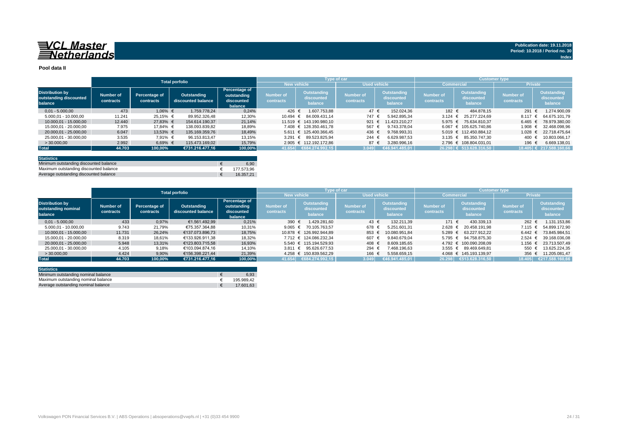#### **Pool data II**

|                                                             |                        |                            |                                          |                                                       |                               |                                             | Type of car                   |                                      | <b>Customer type</b>   |                                      |                               |                                             |
|-------------------------------------------------------------|------------------------|----------------------------|------------------------------------------|-------------------------------------------------------|-------------------------------|---------------------------------------------|-------------------------------|--------------------------------------|------------------------|--------------------------------------|-------------------------------|---------------------------------------------|
|                                                             |                        |                            | <b>Total porfolio</b>                    |                                                       | New vehicle                   |                                             | <b>Used vehicle</b>           |                                      | <b>Commercial</b>      |                                      | <b>Private</b>                |                                             |
| <b>Distribution by</b><br>outstanding discounted<br>balance | Number of<br>contracts | Percentage of<br>contracts | <b>Outstanding</b><br>discounted balance | Percentage of<br>outstanding<br>discounted<br>balance | <b>Number of</b><br>contracts | <b>Outstanding</b><br>discounted<br>balance | <b>Number of</b><br>contracts | Outstanding<br>discounted<br>balance | Number of<br>contracts | Outstanding<br>discounted<br>balance | <b>Number of</b><br>contracts | <b>Outstanding</b><br>discounted<br>balance |
| $0.01 - 5.000.00$                                           | 473                    | $1.06\%$ €                 | 1.759.778.24                             | 0.24%                                                 | 426 €                         | 1.607.753.88                                | 47 €                          | 152.024.36                           | 182 €                  | 484.878.15                           | 291                           | 1.274.900.09                                |
| 5.000.01 - 10.000.00                                        | 11.241                 | 25,15% €                   | 89.952.326.48                            | 12,30%                                                | 10.494 €                      | 84.009.431.14                               | 747                           | 5.942.895.34                         | 3.124 $\in$            | 25.277.224.69                        | 8.117                         | 64.675.101.79                               |
| 10.000.01 - 15.000.00                                       | 12.440                 | 27.83% €                   | 154.614.190.37                           | 21.14%                                                |                               | 11.519 € 143.190.980.10                     | 921 $\epsilon$                | 11.423.210.27                        | $5.975 \in$            | 75.634.810.37                        | 6.465                         | 78.979.380.00                               |
| 15.000.01 - 20.000.00                                       | 7.975                  | 17.84% €                   | 138.093.839.82                           | 18,89%                                                |                               | 7.408 € 128.350.461.78                      | 567                           | 9.743.378.04                         |                        | 6.067 € 105.625.740.86               | 1.908                         | 32.468.098.96                               |
| 20.000.01 - 25.000.00                                       | 6.047                  | 13,53% €                   | 135.169.359.76                           | 18,49%                                                |                               | 5.611 € 125.400.366.45                      | 436 €                         | 9.768.993.31                         |                        | 5.019 € 112.450.884.12               | 1.028                         | 22.718.475.64                               |
| 25.000.01 - 30.000.00                                       | 3.535                  | 7.91% €                    | 96.153.813.47                            | 13.15%                                                |                               | 3.291 € 89.523.825.94                       | 244                           | 6.629.987.53                         |                        | $3.135 \in 85.350.747.30$            | 400                           | 10.803.066.17                               |
| > 30,000,00                                                 | 2.992                  | $6,69%$ €                  | 115.473.169.02                           | 15,79%                                                |                               | 2.905 € 112.192.172.86                      | 87 €                          | 3.280.996.16                         |                        | 2.796 € 108.804.031.01               | 196                           | 6.669.138,01                                |
| <b>Total</b>                                                | 44.703                 | 100,00%                    | €731.216.477.16                          | 100,00%                                               | 41.654                        | €684.274.992.15                             | 3.049                         | €46.941.485.01                       |                        | 26.298 € 513.628.316.50              |                               | $18.405$ € 217.588.160.66                   |
|                                                             |                        |                            |                                          |                                                       |                               |                                             |                               |                                      |                        |                                      |                               |                                             |

| <b>Statistics</b>                      |            |
|----------------------------------------|------------|
| Minimum outstanding discounted balance | 6.90       |
| Maximum outstanding discounted balance | 177.573.96 |
| Average outstanding discounted balance | 16.357.21  |

|                                                          | <b>Total porfolio</b>  |                            |                                   |                                                              |                        | <b>Type of car</b>                   |                               |                                      | <b>Customer type</b>          |                                      |                               |                                      |
|----------------------------------------------------------|------------------------|----------------------------|-----------------------------------|--------------------------------------------------------------|------------------------|--------------------------------------|-------------------------------|--------------------------------------|-------------------------------|--------------------------------------|-------------------------------|--------------------------------------|
|                                                          |                        |                            |                                   |                                                              | <b>New vehicle</b>     |                                      | <b>Used vehicle</b>           |                                      | <b>Commercial</b>             |                                      | <b>Private</b>                |                                      |
| <b>Distribution by</b><br>outstanding nominal<br>balance | Number of<br>contracts | Percentage of<br>contracts | Outstanding<br>discounted balance | <b>Percentage of</b><br>outstanding<br>discounted<br>balance | Number of<br>contracts | Outstanding<br>discounted<br>balance | <b>Number of</b><br>contracts | Outstanding<br>discounted<br>balance | <b>Number of</b><br>contracts | Outstanding<br>discounted<br>balance | <b>Number of</b><br>contracts | Outstanding<br>discounted<br>balance |
| $0.01 - 5.000.00$                                        | 433                    | 0.97%                      | €1.561.492.99                     | 0.21%                                                        | 390                    | 1.429.281.60                         | $43 \epsilon$                 | 132.211.39                           | 171 €                         | 430.339.13                           | 262 €                         | 1.131.153,86                         |
| 5.000.01 - 10.000.00                                     | 9.743                  | 21.79%                     | €75.357.364.88                    | 10.31%                                                       | 9.065 $\in$            | 70.105.763.57                        | 678 €                         | 5.251.601.31                         | $2.628 \t∈$                   | 20.458.191.98                        | $7.115 \in$                   | 54.899.172.90                        |
| 10.000.01 - 15.000.00                                    | 11.731                 | 26.24%                     | €137.073.896.73                   | 18,75%                                                       |                        | 10.878 € 126.992.944.89              | 853                           | 10.080.951.84                        | 5.289 €                       | 63.227.912.22                        |                               | 6.442 € 73.845.984.51                |
| 15.000.01 - 20.000.00                                    | 8.319                  | 18.61%                     | €133.926.911.38                   | 18,32%                                                       |                        | 7.712 € 124.086.232.34               | 607                           | 9.840.679.04                         |                               | 5.795 € 94.758.875.30                | $2.524 \text{ }€$             | 39.168.036.08                        |
| 20.000.01 - 25.000.00                                    | 5.948                  | 13,31%                     | €123.803.715.58                   | 16.93%                                                       |                        | 5.540 € 115.194.529.93               | 408 €                         | 8.609.185.65                         |                               | 4.792 € 100.090.208.09               | 1.156 €                       | 23.713.507.49                        |
| 25.000.01 - 30.000.00                                    | 4.105                  | 9,18%                      | €103.094.874,16                   | 14,10%                                                       |                        | 3.811 € 95.626.677.53                | 294 €                         | 7.468.196.63                         |                               | 3.555 € 89.469.649.81                | 550 $\epsilon$                | 13.625.224.35                        |
| >30.000.00                                               | 4.424                  | 9,90%                      | €156.398.221.44                   | 21.39%                                                       |                        | 4.258 € 150.839.562.29               | 166                           | 5.558.659.15                         |                               | 4.068 € 145.193.139.97               | 356 $\epsilon$                | 11.205.081.47                        |
| <b>Total</b>                                             | 44.703                 | 100.00%                    | €731.216.477.16                   | 100.00%                                                      | 41.654                 | 6684.274.992,15                      | 3.049                         | €46.941.485,01                       |                               | 26.298 €513.628.316,50               | 18,405                        | €217.588.160,66                      |

| <b>Statistics</b>                   |            |
|-------------------------------------|------------|
| Minimum outstanding nominal balance | 6.93       |
| Maximum outstanding nominal balance | 195.989.42 |
| Average outstanding nominal balance | 17.601.63  |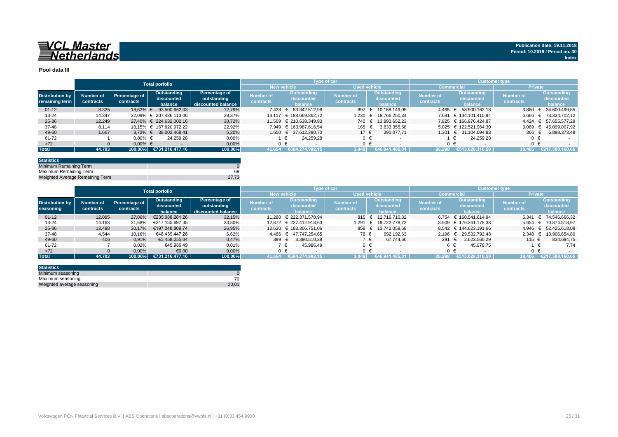

#### **Pool data III**

|                        |           |               | <b>Total porfolio</b>      |                    |                  |                         | Type of car      |                     | <b>Customer type</b> |                        |                |                    |
|------------------------|-----------|---------------|----------------------------|--------------------|------------------|-------------------------|------------------|---------------------|----------------------|------------------------|----------------|--------------------|
|                        |           |               |                            |                    |                  | <b>New vehicle</b>      |                  | <b>Used vehicle</b> | Commercia            |                        |                | <b>Private</b>     |
| <b>Distribution by</b> | Number of | Percentage of | Outstanding                | Percentage of      | <b>Number of</b> | <b>Outstanding</b>      | <b>Number of</b> | Outstanding         | <b>Number of</b>     | Outstanding            | Number of      | <b>Outstanding</b> |
| remaining term         | contracts | contracts     | discounted                 | outstanding        | contracts        | discounted              | contracts        | discounted          | contracts            | discounted             | contracts      | discounted         |
|                        |           |               | balance                    | discounted balance |                  | balance                 |                  | balance             |                      | balance                |                | balance            |
| $01 - 12$              | 8.325     | 18.62%        | 93.500.662.03              | 12.79%             | 7.428            | € 83.342.512.98         | 897              | 10.158.149.05       | 4.465                | 58.900.162.18          | 3.860          | 34.600.499.85      |
| $13 - 24$              | 14.347    |               | 32.09% € 207.436.113.06    | 28,37%             | 13.117           | € 188.669.862.72        | 1.230            | 18.766.250.34       | 7.681                | € 134.101.410.94       | 6.666          | € 73.334.702.12    |
| 25-36                  | 12.249    |               | 27.40% € 224.632.002.16    | 30,72%             |                  | 11.509 € 210.638.349.93 | 740 €            | 13.993.652,23       |                      | 7.825 € 166.976.424.87 | $4.424 \in$    | 57.655.577.29      |
| 37-48                  | 8.114     |               | 18.15% € 167.620.972.22    | 22,92%             |                  | 7.949 € 163.987.616.54  | 165              | 3.633.355.68        |                      | 5.025 € 122.521.964,30 | 3.089          | 45.099.007.92      |
| 49-60                  | 1.667     |               | $3.73\% \in 38.002.468.41$ | 5.20%              |                  | 1.650 € 37.612.390.70   | 17 €             | 390.077.71          |                      | 1.301 € 31.104.094.93  | 366 $\epsilon$ | 6.898.373.48       |
| 61-72                  |           | $0.00\%$ €    | 24.259.28                  | 0,00%              |                  | 24.259.28               | $0 \in$          |                     |                      | 24.259.28              |                |                    |
| $>72$                  |           | $0.00\%$ €    |                            | 0,00%              |                  |                         | $0 \in$          |                     |                      | $0 \in$                |                | $0 \in$            |
| <b>Total</b>           | 44.703    |               | 100,00% €731.216.477,16    | 100,00%            | 41.654           | €684.274.992,15         | 3.049            | €46.941.485.01      | 26.298               | €513.628.316.50        | 18.405         | €217.588.160.66    |

| <b>Statistics</b>               |       |
|---------------------------------|-------|
| Minimum Remaining Term          |       |
| Maximum Remaining Term          | 69    |
| Weighted Average Remaining Term | 27.73 |

|                        | <b>Total porfolio</b> |                      |                 |                    | Type of car |                         | <b>Customer type</b> , |                     |                  |                        |                  |                             |
|------------------------|-----------------------|----------------------|-----------------|--------------------|-------------|-------------------------|------------------------|---------------------|------------------|------------------------|------------------|-----------------------------|
|                        |                       |                      |                 |                    |             | <b>New vehicle</b>      | <b>Used vehicle</b>    |                     |                  | <b>Commercial</b>      | <b>Private</b>   |                             |
|                        |                       |                      | Outstanding     | Percentage of      | Number of   | Outstanding             |                        | <b>Outstanding</b>  | <b>Number of</b> | <b>Outstanding</b>     | <b>Number of</b> | Outstanding                 |
| <b>Distribution by</b> | Number of             | <b>Percentage of</b> | discounted      | outstanding        |             | discounted              | Number of              | discounted          |                  | discounted             |                  | discounted                  |
| seasoning              | contracts             | contracts            | balance         | discounted balance | contracts   | balance                 | contracts              | balance             | contracts        | balance                | contracts        | balance                     |
| $01 - 12$              | 12.095                | 27,06%               | €235.088.281.26 | 32,15%             | 11.280      | € 222.371.570.94        |                        | 815 € 12.716.710.32 |                  | 6.754 € 160.541.614.94 | 5.341            | € 74.546.666,32             |
| 13-24                  | 14.163                | 31.68%               | €247.135.697.35 | 33,80%             |             | 12.872 € 227.412.918.63 | 1.291                  | 19.722.778.72       |                  | 8.509 € 176.261.178,38 | 5.654            | € 70.874.518.97             |
| 25-36                  | 13.488                | 30.17%               | €197.048.809.74 | 26,95%             |             | 12.630 € 183.306.751,06 |                        | 858 € 13.742.058.68 |                  | 8.542 € 144.623.191.66 |                  | 4.946 € 52.425.618,08       |
| 37-48                  | 4.544                 | 10,16%               | €48.439.447.28  | 6,62%              |             | 4.466 € 47.747.254.65   | 78 €                   | 692.192.63          | 2.196            | 29.532.792.48          | 2.348            | 18.906.654,80<br>$\epsilon$ |
| 49-60                  | 406                   | 0,91%                | €3.458.255,04   | 0,47%              | 399 €       | 3.390.510.38            | 7 €                    | 67.744.66           | 291              | 2.623.560.29           | 115 €            | 834.694,75                  |
| 61-72                  |                       | 0,02%                | €45.986,49      | 0,01%              |             | 45.986.49<br>€          | $0 \in$                |                     |                  | 45.978.75              |                  | 7,74                        |
| $>72$                  |                       | 0,00%                | €0,00           | 0,00%              |             | $0 \in$                 | $0 \in$                |                     |                  | ∩ €                    | $0 \in$          |                             |
| <b>Total</b>           | 44.703                | 100.00%              | €731.216.477,16 | 100,00%            | 41.654      | €684.274.992.15         | 3.049                  | €46.941.485.01      | 26.298           | €513.628.316.50        | 18.405           | €217.588.160.66             |

| <b>Statistics</b>          |       |
|----------------------------|-------|
| Minimum seasoning          |       |
| Maximum seasoning          |       |
| Weighted average seasoning | 20.01 |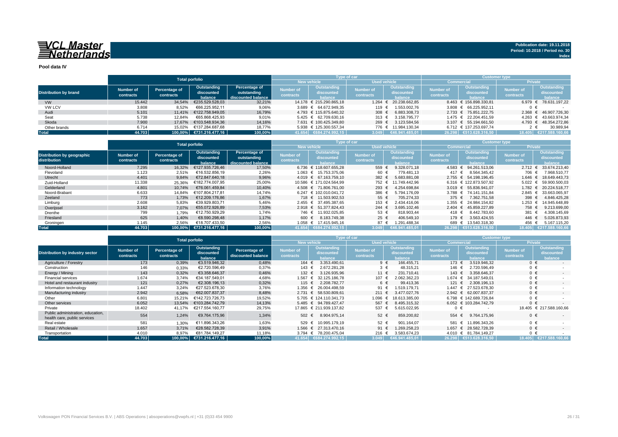**Pool data IV**

|                              |           |               | <b>Total porfolio</b>   |                    |                  | Type of car               |                     |                     | <b>Customer type</b> |                           |                  |                           |  |  |  |  |
|------------------------------|-----------|---------------|-------------------------|--------------------|------------------|---------------------------|---------------------|---------------------|----------------------|---------------------------|------------------|---------------------------|--|--|--|--|
|                              |           |               |                         |                    |                  | <b>New vehicle</b>        | <b>Used vehicle</b> |                     |                      | <b>Commercial</b>         | <b>Private</b>   |                           |  |  |  |  |
|                              | Number of | Percentage of | Outstanding             | Percentage of      | Number of        | Outstanding               | <b>Number of</b>    | Outstanding         | <b>Number of</b>     | Outstanding               | <b>Number of</b> | Outstanding               |  |  |  |  |
| <b>Distribution by brand</b> |           | contracts     | discounted              | outstanding        | <b>contracts</b> | discounted                | contracts           | discounted          | contracts            | discounted                | contracts        | discounted                |  |  |  |  |
|                              | contracts |               | balance                 | discounted balance |                  | halance                   |                     | balance             |                      | halance                   |                  | <b>balance</b>            |  |  |  |  |
| <b>VW</b>                    | 15.442    | 34,54%        | €235.529.528.03         | 32,21%             |                  | 14.178 € 215.290.865.18   | 1.264               | 20.238.662.85       |                      | 8.463 € 156.898.330.81    |                  | $6.979 \in 78.631.197.22$ |  |  |  |  |
| <b>VW LCV</b>                | 3.808     | 8,52%         | €66.225.952.11          | 9,06%              |                  | 3.689 € 64.672.949.35     | 119 €               | 1.553.002,76        |                      | 3.808 € 66.225.952.11     | 0 €              |                           |  |  |  |  |
| Audi                         | 5.101     | 11.41%        | €122.758.949.05         | 16,79%             |                  | 4.793 € 115.875.640.32    | 308 $\epsilon$      | 6.883.308,73        |                      | 2.733 € 75.851.222.75     | 2.368            | € 46.907.726,30           |  |  |  |  |
| Seat                         | 5.738     | 12.84%        | €65.868.425.93          | 9,01%              |                  | $5.425 \in 62.709.630.16$ | $313 \in$           | 3.158.795.77        |                      | 1.475 € 22.204.451.59     | 4.263            | € 43.663.974.34           |  |  |  |  |
| Skoda                        | 7.900     | 17.67%        | €103.548.934.36         | 14.16%             |                  | 7.631 € 100.425.349.80    | 269 $\in$           | 3.123.584.56        |                      | $3.107 \in 55.194.661.50$ |                  | 4.793 € 48.354.272,86     |  |  |  |  |
| Other brands                 | 6.714     | 15.02%        | €137.284.687.68         | 18.77%             |                  | 5.938 € 125.300.557.34    |                     | 776 € 11.984.130.34 |                      | 6.712 € 137.253.697.74    |                  | 30.989.94                 |  |  |  |  |
| <b>Total</b>                 | 44.703    |               | 100,00% €731.216.477,16 | 100,00%            |                  | 41.654 €684.274.992.15    | 3.049               | €46.941.485.01      |                      | 26.298 €513.628.316.50    |                  | 18.405 €217.588.160.66    |  |  |  |  |

|                                            |                        | <b>Total porfolio</b>      |                                      |                                                    |                               |                                      | Type of car                   |                                             | <b>Customer type</b>          |                                             |                        |                                                    |  |  |  |
|--------------------------------------------|------------------------|----------------------------|--------------------------------------|----------------------------------------------------|-------------------------------|--------------------------------------|-------------------------------|---------------------------------------------|-------------------------------|---------------------------------------------|------------------------|----------------------------------------------------|--|--|--|
|                                            |                        |                            |                                      |                                                    |                               | <b>New vehicle</b>                   | <b>Used vehicle</b>           |                                             | Commercial                    |                                             | <b>Private</b>         |                                                    |  |  |  |
| Distribution by geographic<br>distribution | Number of<br>contracts | Percentage of<br>contracts | Outstanding<br>discounted<br>balance | Percentage of<br>outstanding<br>discounted balance | <b>Number of</b><br>contracts | Outstanding<br>discounted<br>halance | <b>Number of</b><br>contracts | <b>Outstanding</b><br>discounted<br>balance | <b>Number of</b><br>contracts | Outstanding<br>discounted<br><b>balance</b> | Number of<br>contracts | <b>Outstanding</b><br>discounted<br><b>balance</b> |  |  |  |
| Noord-Holland                              | 7.295                  | 16.32%                     | €127.935.726.46                      | 17,50%                                             |                               | 6.736 € 118.607.655.28               | 559 €                         | 9.328.071.18                                | 4.583 €                       | 94.261.513.06                               | $2.712 \in$            | 33.674.213.40                                      |  |  |  |
| Flevoland                                  | 1.123                  | 2,51%                      | €16.532.856.19                       | 2,26%                                              |                               | 1.063 € 15.753.375.06                | 60 €                          | 779.481.13                                  | 417 €                         | 8.564.345.42                                | 706 €                  | 7.968.510.77                                       |  |  |  |
| Utrecht                                    | 4.401                  | 9,84%                      | €72.847.640.18                       | 9,96%                                              |                               | 4.019 € 67.163.759.10                | 382 €                         | 5.683.881.08                                |                               | 2.755 € 54.198.196.45                       | 1.646                  | 18.649.443.73                                      |  |  |  |
| Zuid-Holland                               | 11.338                 | 25,36%                     | €182.774.007.95                      | 25,00%                                             |                               | 10.586 € 171.024.564.99              | 752 €                         | 11.749.442.96                               |                               | 6.316 € 122.873.507.92                      | 5.022                  | 59.900.500.03                                      |  |  |  |
| Gelderland                                 | 4.801                  | 10.74%                     | €76.061.459.84                       | 10,40%                                             |                               | 4.508 € 71.806.761.00                | 293 $\epsilon$                | 4.254.698.84                                |                               | 3.019 € 55.836.941.07                       | 1.782 $∈$              | 20.224.518.77                                      |  |  |  |
| Noord-Brabant                              | 6.633                  | 14.84%                     | €107.804.217.81                      | 14,74%                                             |                               | 6.247 € 102.010.041.72               | 386 €                         | 5.794.176.09                                |                               | 3.788 € 74.141.151.84                       | 2.845                  | 33.663.065.97<br>€                                 |  |  |  |
| Zeeland                                    | 773                    | 1,73%                      | €12.209.176.86                       | 1,67%                                              |                               | 718 € 11.503.902.53                  | 55 €                          | 705.274.33                                  | 375 $\epsilon$                | 7.362.751.58                                | 398 $\epsilon$         | 4.846.425.28                                       |  |  |  |
| Limburg                                    | 2.608                  | 5,83%                      | €39.929.803.71                       | 5,46%                                              |                               | 2.455 € 37.495.387.65                | 153 €                         | 2.434.416.06                                |                               | 1.355 € 24.984.154.82                       | 1.253                  | 14.945.648.89<br>€                                 |  |  |  |
| Overijssel                                 | 3.162                  | 7.07%                      | €55.072.926.89                       | 7,53%                                              |                               | 2.918 € 51.377.824.43                | 244 $\in$                     | 3.695.102.46                                | $2.404 \text{ }€$             | 45.859.227.89                               | 758 €                  | 9.213.699.00                                       |  |  |  |
| Drenthe                                    | 799                    | 1,79%                      | €12.750.929.29                       | 1.74%                                              |                               | 746 € 11.932.025.85                  | 53 €                          | 818.903.44                                  | 418 €                         | 8.442.783.60                                | 381 €                  | 4.308.145,69                                       |  |  |  |
| Friesland                                  | 625                    | 1.40%                      | €8.590.298.48                        | 1.17%                                              | 600 €                         | 8.183.749,38                         | 25 €                          | 406.549.10                                  | 179 €                         | 3.563.424.55                                | 446 €                  | 5.026.873,93                                       |  |  |  |
| Groningen                                  | 1.145                  | 2,56%                      | €18.707.433,50                       | 2,56%                                              |                               | 1.058 € 17.415.945,16                | 87 €                          | 1.291.488,34                                | 689 €                         | 13.540.318.30                               | 456                    | 5.167.115,20                                       |  |  |  |
| <b>Total</b>                               | 44.703                 | 100.00%                    | €731.216.477.16                      | 100,00%                                            |                               | 41.654 €684.274.992.15               | 3.049                         | €46.941.485.01                              | 26.298                        | €513.628.316.50                             | 18.405                 | €217.588.160.66                                    |  |  |  |

|                                                                   |                               | <b>Total porfolio</b>      |                                      |                                     |                                      | <b>Type of car</b>                          |                               |                                             | <b>Customer type</b>          |                                                    |                               |                                             |  |  |  |
|-------------------------------------------------------------------|-------------------------------|----------------------------|--------------------------------------|-------------------------------------|--------------------------------------|---------------------------------------------|-------------------------------|---------------------------------------------|-------------------------------|----------------------------------------------------|-------------------------------|---------------------------------------------|--|--|--|
|                                                                   |                               |                            |                                      |                                     | <b>New vehicle</b>                   |                                             | <b>Used vehicle</b>           |                                             | <b>Commercia</b>              |                                                    | <b>Private</b>                |                                             |  |  |  |
| <b>Distribution by industry sector</b>                            | <b>Number of</b><br>contracts | Percentage of<br>contracts | Outstanding<br>discounted<br>balance | Percentage of<br>discounted balance | <b>Number of</b><br><b>contracts</b> | <b>Outstanding</b><br>discounted<br>balance | <b>Number of</b><br>contracts | <b>Outstanding</b><br>discounted<br>balance | <b>Number of</b><br>contracts | <b>Outstanding</b><br>discounted<br><b>palance</b> | <b>Number of</b><br>contracts | <b>Outstanding</b><br>discounted<br>balance |  |  |  |
| Agriculture / Forestry                                            | 173                           | 0,39%                      | €3.519.946.32                        | 0,48%                               | 164 €                                | 3.353.490.61                                | $9 \in$                       | 166.455.71                                  | $173 \in$                     | 3.519.946.32                                       | $0 \in$                       | $\sim$                                      |  |  |  |
| Construction                                                      | 146                           | 0,33%                      | €2.720.596.49                        | 0,37%                               | 143 €                                | 2.672.281.28                                | $3 \in$                       | 48.315.21                                   | 146 €                         | 2.720.596.49                                       | $0 \in$                       |                                             |  |  |  |
| Energy / Mining                                                   | 143                           | 0,32%                      | €3.358.646,37                        | 0,46%                               | 132 €                                | 3.126.935.96                                | 11 €                          | 231.710.41                                  | 143 €                         | 3.358.646.37                                       | $0 \in$                       | $\sim$                                      |  |  |  |
| <b>Financial services</b>                                         | 1.674                         | 3.74%                      | €34.187.549.01                       | 4,68%                               | 1.567 €                              | 32.125.186.78                               | 107 €                         | 2.062.362.23                                | 1.674 €                       | 34.187.549.01                                      | $0 \in$                       |                                             |  |  |  |
| Hotel and restaurant industry                                     | 121                           | 0,27%                      | €2.308.196.13                        | 0,32%                               | 115 €                                | 2.208.782.77                                | 6 €                           | 99.413.36                                   | 121 €                         | 2.308.196.13                                       | $0 \in$                       | $\sim$                                      |  |  |  |
| Information technology                                            | 1.447                         | 3,24%                      | €27.523.678,30                       | 3,76%                               | 1.356 €                              | 26.004.498.59                               | 91 €                          | .519.179.71                                 | 1.447 $∈$                     | 27.523.678.30                                      | $0 \in$                       |                                             |  |  |  |
| Manufacturing industry                                            | 2.942                         | 6,58%                      | €62.007.837.37                       | 8,48%                               |                                      | 2.731 € 58.530.809.61                       | $211$ €                       | 3.477.027.76                                | $2.942 \in$                   | 62.007.837.37                                      | $0 \in$                       |                                             |  |  |  |
| Other                                                             | 6.801                         | 15.21%                     | €142.723.726.73                      | 19,52%                              |                                      | 5.705 € 124.110.341.73                      | 1.096                         | 18.613.385.00                               |                               | 6.798 € 142.689.726.84                             | $0 \in$                       |                                             |  |  |  |
| Other services                                                    | 6.052                         | 13,54%                     | €103.284.742.79                      | 14.13%                              |                                      | 5.485 € 94.789.427.47                       | 567 €                         | 8.495.315.32                                |                               | 6.052 € 103.284.742.79                             | $0 \in$                       |                                             |  |  |  |
| Private                                                           | 18.402                        | 41,17%                     | €217.554.160,77                      | 29,75%                              |                                      | 17.865 € 211.939.137,82                     | 537 €                         | 5.615.022.95                                | $0 \in$                       |                                                    |                               | 18.405 € 217.588.160.66                     |  |  |  |
| Public administration, education,<br>health care, public services | 554                           | 1,24%                      | €9.764.175.96                        | 1,34%                               |                                      | 502 € 8.904.975.14                          | $52 \epsilon$                 | 859.200,82                                  | 554 $\epsilon$                | 9.764.175,96                                       | $0 \in$                       |                                             |  |  |  |
| Real estate                                                       | 581                           | 1,30%                      | €11.896.343.26                       | 1.63%                               | 529                                  | 10.995.179.19<br>÷.                         | 52 €                          | 901.164.07                                  | 581 €                         | 11.896.343.26                                      | $0 \in$                       |                                             |  |  |  |
| Retail / Wholesale                                                | 1.657                         | 3.71%                      | €28.582.728.39                       | 3.91%                               | $1.566$ €                            | 27.313.470.16                               | 91 $\in$                      | .269.258.23                                 | 1.657 $∈$                     | 28.582.728.39                                      | $0 \in$                       | $\sim$                                      |  |  |  |
| Transportation                                                    | 4.010                         | 8,97%                      | €81.784.149.27                       | 11,18%                              |                                      | 3.794 € 78.200.475.04                       | 216 $\epsilon$                | 3.583.674.23                                | 4.010 $∈$                     | 81.784.149.27                                      | $0 \in$                       |                                             |  |  |  |
| <b>Total</b>                                                      | 44.703                        |                            | 100,00% €731.216.477,16              |                                     | 41.654 €684.274.992.15               | 3.049                                       | €46.941.485.01                |                                             | 26.298 €513.628.316.50        | 18.405                                             | €217.588.160.66               |                                             |  |  |  |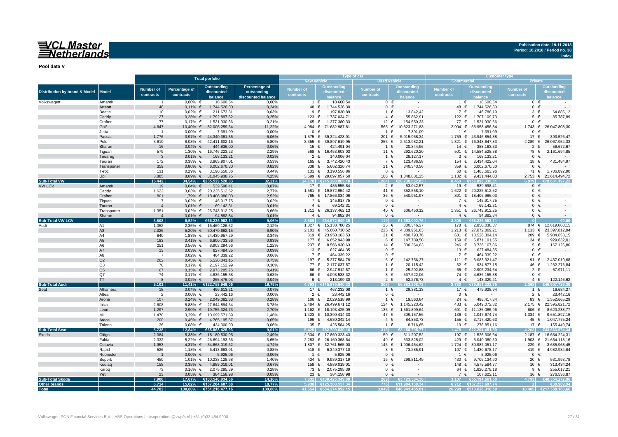## <u>WCL Master</u><br>ENetherlands

**Publication date: 19.11.2018 Period: 10.2018 / Period no. 30**

**Index**

**Pool data V**

|                                          |                      |                       |                     | <b>Total porfolio</b>                 |                    |                    |                                        | Type of car         |                              | <b>Customer type</b>         |                               |                    |                               |  |  |  |
|------------------------------------------|----------------------|-----------------------|---------------------|---------------------------------------|--------------------|--------------------|----------------------------------------|---------------------|------------------------------|------------------------------|-------------------------------|--------------------|-------------------------------|--|--|--|
|                                          |                      |                       |                     |                                       |                    | <b>New vehicle</b> |                                        | <b>Used vehicle</b> |                              | <b>Commercial</b><br>Private |                               |                    |                               |  |  |  |
|                                          |                      | <b>Number of</b>      | Percentage of       | <b>Outstanding</b>                    | Percentage of      | Number of          | <b>Outstanding</b>                     | Number of           | <b>Outstanding</b>           | <b>Number of</b>             | <b>Outstanding</b>            | <b>Number of</b>   | <b>Outstanding</b>            |  |  |  |
| <b>Distribution by brand &amp; Model</b> | <b>Model</b>         | contracts             | contracts           | discounted                            | outstanding        | contracts          | discounted                             | contracts           | discounted                   | contracts                    | discounted                    | contracts          | discounted                    |  |  |  |
|                                          |                      |                       |                     | balance                               | discounted balance |                    | balance                                |                     |                              |                              | <b>balance</b>                |                    |                               |  |  |  |
| Volkswagen                               | Amarok               | $\overline{1}$        | $0.00\%$ €          | 18.600.54                             | 0.00%              |                    | 18.600,54<br>1 €                       | $0 \in$             | $\sim$                       | 1 €                          | 18.600,54                     |                    | $0 \in$                       |  |  |  |
|                                          | Arteon               | 48                    | $0,11\%$ €          | 1.744.526,30                          | 0,24%              | 48 €               | 1.744.526,30                           | $0 \in$             |                              | 48 €                         | 1.744.526,30                  | $\mathbf{0}$       | $\epsilon$                    |  |  |  |
|                                          | Beetle               | 10                    | $0,02%$ €           | 211.673,31                            | 0,03%              | 9                  | $\epsilon$<br>197.830,89               | 1 €                 | 13.842,42                    | 7 €                          | 146.788,19                    | $3 \in$            | 64.885,12                     |  |  |  |
|                                          | Caddv                | 127                   | $0,28%$ €           | 1.792.897,62                          | 0,25%              | 123 €              | 1.737.034,71                           | $4 \in$             | 55.862,91                    | 122 €                        | 1.707.109,73                  | $5 \in$            | 85.787,89                     |  |  |  |
|                                          | Crafter              | 77                    | $0,17%$ €           | 1.531.930,66                          | 0,21%              | 65 €               | 1.377.380,33                           | 12 €                | 154.550,33                   | 77 €                         | 1.531.930,66                  |                    | $0 \in$                       |  |  |  |
|                                          | Golf                 | 4.647                 |                     | 10,40% € 82.006.259,64                | 11,22%             | $4.084 \in$        | 71.682.987,81                          | 563 €               | 10.323.271,83                | 2.904<br>€                   | 55.958.456,34                 |                    | 1.743 € 26.047.803,30         |  |  |  |
|                                          | Jetta                | $\overline{1}$        | $0,00%$ €           | 7.391,09                              | 0,00%              | $\mathbf 0$        | €                                      | 1 €                 | 7.391,09                     | 1 €                          | 7.391,09                      | $\mathbf{0}$       |                               |  |  |  |
|                                          | Passat               | 1.776                 |                     | 3,97% € 44.340.381,35                 | 6,06%              | $1.575$ €          | 39.324.423,01                          | 201 €               | 5.015.958,34                 | 1.759<br>€                   | 43.946.854,88                 | 17 €               | 393.526,47                    |  |  |  |
|                                          | Polo                 | 3.610                 |                     | 8,08% € 42.411.602,16                 | 5,80%              | 3.355 $\epsilon$   | 39.897.619,95                          | 255 €               | 2.513.982,21                 | 1.321 $∈$                    | 16.343.647,83                 | 2.289              | 26.067.954,33<br>€            |  |  |  |
|                                          | Sharan               | 16                    | $0,04%$ €           | 444.836,00                            | 0,06%              | 15 $\epsilon$      | 424.491,04                             | 1 €                 | 20.344,96                    | 14<br>€                      | 388.163,33                    | $\overline{2}$     | 56.672,67<br>€                |  |  |  |
|                                          | Tiquan               | 579                   |                     | 1,30% € 16.746.223,23                 | 2,29%              | 568 €              | 16.453.603,03                          | 11 €                | 292.620,20                   |                              | 501 € 14.584.528,38           | 78 €               | 2.161.694,85                  |  |  |  |
|                                          | Touareg              | $\mathbf{3}$          | $0,01\%$ €          | 168.133,21                            | 0,02%              | 2<br>165 €         | 140.006,04<br>€<br>3.742.420,43        | $1 \in$<br>7 €      | 28.127,17                    | €<br>-3<br>154 €             | 168.133,21<br>3.434.422,04    | $\Omega$<br>18     | 431.484,97                    |  |  |  |
|                                          | Touran               | 172<br>359            | $0,38%$ €           | 3.865.907,01                          | 0,53%<br>0,82%     | 338 $\epsilon$     | 5.662.326,74                           | 21 €                | 123.486,58<br>340.343,56     | 359 $\epsilon$               | 6.002.670,30                  | $\mathbf{0}$       | €                             |  |  |  |
|                                          | Transporter<br>T-roc | 131                   | $0,80%$ €           | 6.002.670,30<br>0,29% € 3.190.556,86  | 0.44%              | 131 €              | 3.190.556,86                           | $0 \in$             | $\sim$                       | 60 €                         | 1.483.663,96                  | 71 €               | 1.706.892,90                  |  |  |  |
|                                          | Up!                  | 3.885                 |                     | 8,69% € 31.045.938,75                 | 4,25%              |                    | 3.699 € 29.697.057,50                  | 186 €               | 1.348.881,25                 | 1.132 $∈$                    | 9.431.444,03                  |                    | 2.753 € 21.614.494,72         |  |  |  |
| <b>Sub-Total VW</b>                      |                      | 15.442                |                     | 34,54% €235.529.528,03                | 32,21%             | 14.178             | £21529086515                           |                     | 620238628                    |                              | £15689833081                  |                    | €78 631 197 22                |  |  |  |
| <b>VW LCV</b>                            | Amarok               | 19                    | $0,04%$ €           | 539.598,41                            | 0,07%              | 17 $\epsilon$      | 486.555,84                             | $2 \in$             | 53.042,57                    | 19 €                         | 539.598,41                    | $\mathbf{0}$       | €                             |  |  |  |
|                                          | Caddy                | 1.622                 |                     | 3,63% € 20.225.512,52                 | 2,77%              |                    | 1.581 € 19.872.954,42                  | 41 €                | 352.558,10                   |                              | 1.622 € 20.225.512,52         |                    | $0 \in$                       |  |  |  |
|                                          | Crafter              | 801                   | 1,79% €             | 18.406.986,03                         | 2,52%              |                    | 765 € 17.866.034,06                    | 36 €                | 540.951,97                   |                              | 801 € 18.406.986,03           |                    | $0 \in$                       |  |  |  |
|                                          | Tiguan               | $\overline{7}$        | $0,02%$ €           | 145.917,75                            | 0,02%              | 7 €                | 145.917,75                             | $0 \in$             |                              | 7 €                          | 145.917,75                    |                    | $0 \in$                       |  |  |  |
|                                          | Touran               | $\overline{4}$        | $0,01\%$ €          | 69.142,31                             | 0,01%              | $4 \in$            | 69.142,31                              | $0 \in$             |                              | $4 \in$                      | 69.142,31                     | $0 \in$            |                               |  |  |  |
|                                          | Transporter          | 1.351                 |                     | 3,02% € 26.743.912,25                 | 3,66%              |                    | 1.311 € 26.137.462,13                  | 40 €                | 606.450,12                   |                              | 1.351 € 26.743.912,25         |                    | $0 \in$                       |  |  |  |
|                                          | Sharan               | $\overline{4}$        | 0.01%               | $\epsilon$<br>94.882.84               | 0.01%              |                    | $4 \in$<br>94.882,84                   | $0 \in$             |                              | $4 \in$                      | 94.882,84                     |                    | $0 \in$                       |  |  |  |
| Sub-Total VW LCV                         |                      | 3.808                 | 8.52%               | €66.225.952.11                        | 9.06%              |                    | €64.672.949.35                         | 1191                | €1.553.002.76                | 3.808                        | €66.225.952.11                |                    |                               |  |  |  |
| Audi                                     | A1                   | 1.052                 |                     | 2,35% € 15.469.126,52                 | 2,12%              | 1.027 $∈$          | 15.138.780,25                          | 25 €                | 330.346,27                   | 178 €                        | 2.850.038,37                  |                    | 874 € 12.619.088,15           |  |  |  |
|                                          | A <sub>3</sub>       | 2.326                 |                     | 5,20% € 50.470.682,15                 | 6,90%              | $2.101 \t∈$        | 45.660.730,52                          | $225 \epsilon$      | 4.809.951,63                 | 1.213<br>€                   | 27.072.869,21                 | $1.113$ €          | 23.397.812,94                 |  |  |  |
|                                          | A4                   | 840                   |                     | 1,88% € 24.430.957,29                 | 3,34%              |                    | 819 € 23.950.163,53                    | 21 €                | 480.793,76                   | 631 €                        | 18.526.304,14                 | 209 €              | 5.904.653,15                  |  |  |  |
|                                          | A <sub>5</sub>       | 183                   | $0,41\%$ €          | 6.800.733,56                          | 0,93%              | 177 €              | 6.652.943,98                           | 6 €                 | 147.789,58                   | 159 €                        | 5.871.101,55                  | 24 $\in$           | 929.632,0                     |  |  |  |
|                                          | A6                   | 251                   | $0,56%$ €           | 8.903.294,66                          | 1,22%              | 237 $\epsilon$     | 8.566.930,63                           | 14 €                | 336.364,03                   | 246 €                        | 8.736.167,86                  | $5 \in$            | 167.126,80                    |  |  |  |
|                                          | A7                   | 13                    | $0,03%$ €           | 627.484,35                            | 0,09%              | 13 €               | 627.484,35                             | $0 \in$             |                              | 13 $\epsilon$                | 627.484,35                    | $\mathbf{0}$       |                               |  |  |  |
|                                          | A8                   | $\overline{7}$        | $0,02%$ €           | 464.339,22                            | 0,06%              | 7 €                | 464.339,22                             | $0 \in$             |                              | 7 €                          | 464.339,22                    |                    | $0 \in$                       |  |  |  |
|                                          | Q2                   | 202                   | $0,45%$ €           | 5.520.341,15                          | 0,75%              | 197 €              | 5.377.584,78                           | $5 \in$             | 142.756,37                   | 111 €                        | 3.083.321,47                  | 91                 | €<br>2.437.019,68             |  |  |  |
|                                          | Q3                   | 78                    | $0,17%$ €           | 2.197.152,99                          | 0,30%              | 77 €               | 2.177.037,57                           | $1 \in$             | 20.115,42                    | 32 €                         | 934.877,15                    | 46 €               | 1.262.275,84                  |  |  |  |
|                                          | Q <sub>5</sub>       | 67                    | $0,15%$ €           | 2.973.205,75                          | 0,41%              | 66                 | €<br>2.947.912.87                      | $1 \in$             | 25.292.88                    | 65<br>€                      | 2.905.234,64                  | $\overline{2}$     | 67.971,11<br>€                |  |  |  |
|                                          | Q7                   | 74                    | $0,17%$ €           | 4.636.155,38                          | 0,63%              | 66 €               | 4.098.533,32                           | 8 €                 | 537.622,06                   | 74 €                         | 4.636.155,38                  | $\mathbf{0}$       | €                             |  |  |  |
|                                          | <b>TT</b>            | $\mathbf{8}$          | $0,02%$ €           | 265.476,03                            | 0,04%              |                    | 213.199,30<br>6 €                      | $2 \in$             | 52.276,73                    | $4 \in$                      | 143.329,41                    | $4 \in$            | 122.146,62                    |  |  |  |
| <b>Sub-Total Audi</b>                    |                      | 5.101                 |                     | 11,41% €122.758.949,05                | 16,79%             | 1.793              | €115.875.640.32                        | ានា                 | €6.883.308.73                |                              | 2.733 €75.851.222.75          |                    | 907.726.30                    |  |  |  |
| Seat                                     | Alhambra             | 18                    | $0,04%$ €           | 496.613,21                            | 0,07%              | 17 €               | 467.232,08                             | $1 \in$             | 29.381,13                    | 17 €                         | 479.928,94                    | $1 \in$            | 16.684,27                     |  |  |  |
|                                          | Altea                | $\overline{2}$<br>107 | $0,00%$ €           | 23.442,16                             | 0,00%              | $2 \in$            | 23.442,16                              | $0 \in$             | $\sim$                       | $0 \in$<br>24                |                               | $2 \in$            | 23.442,16                     |  |  |  |
|                                          | Arona                |                       | $0,24%$ €           | 2.049.082,63                          | 0,28%              | 106 €              | 2.029.518,99                           | $1 \in$             | 19.563,64                    | €                            | 496.417,34                    | 83 €               | 1.552.665,29<br>22.595.821,72 |  |  |  |
|                                          | Ibiza                | 2.608                 |                     | 5,83% € 27.644.894,54                 | 3,78%              | $2.484 \in$        | 26.499.671,12<br>1.162 € 18.193.425,09 | 124 €<br>135 €      | 1.145.223,42<br>1.561.899,64 | 433<br>€<br>691 €            | 5.049.072,82<br>11.135.085,96 | $2.175 \in$<br>606 | 8.620.238,77<br>€             |  |  |  |
|                                          | Leon<br>Mii          | 1.297                 |                     | 2,90% € 19.755.324,73                 | 2,70%              | 1.423 $∈$          | 10.390.414,33                          | 47 €                | 309.157,56                   |                              | 1.047.674,74                  | $1.334 \in$        | 9.651.897,15                  |  |  |  |
|                                          | Ateca                | 1.470<br>200          | $0,45%$ €           | 3,29% € 10.699.571,89<br>4.765.195,87 | 1,46%<br>0,65%     | 196 €              | 4.680.342,14                           | $4 \in$             | 84.853,73                    | 136 €<br>155 $\epsilon$      | 3.717.420,63                  | 45 $\in$           | 1.047.775,24                  |  |  |  |
|                                          |                      |                       |                     |                                       |                    | 35 $\epsilon$      | 425.584,25                             | 1 €                 | 8.716,65                     | 19 €                         | 278.851,16                    | 17 €               | 155.449,74                    |  |  |  |
| <b>Sub-Total Seat</b>                    | Toledo               | 36<br>5.738           | $0,08%$ €<br>12.84% | 434.300,90<br>€65.868.425,93          | 0,06%<br>9.01%     | 5.425              | €62.709.630.16                         |                     | E3.158.795.77                | 475                          | €22.204.451.59                | 4.263              | 13.663.974.34                 |  |  |  |
|                                          | Citigo               | 2.384                 |                     | 5,33% € 18.180.530,95                 | 2,49%              |                    | 2.334 € 17.869.323,43                  | 50 $\in$            | 311.207,52                   | 197 €                        | 1.526.306,64                  |                    | 2.187 € 16.654.224,31         |  |  |  |
| Skoda                                    | Fabia                | 2.332                 |                     | 5,22% € 26.694.193,66                 | 3,65%              |                    | 2.283 € 26.160.368,64                  | 49 €                | 533.825,02                   | 429<br>€                     | 5.040.080,50                  |                    | 1.903 € 21.654.113,16         |  |  |  |
|                                          | Octavia              | 1.953                 |                     | 4,37% € 34.668.019,62                 | 4.74%              | 1.807 $∈$          | 32.761.565,00                          | 146 €               | 1.906.454,62                 | 1.724<br>€                   | 30.982.051,17                 | 229                | 3.685.968,45<br>€             |  |  |  |
|                                          | Rapid                | 526                   | 1,18% €             | 6.413.663,01                          | 0,88%              | 518 €              | 6.340.377,10                           | 8 €                 | 73.285,91                    | 107 €                        | 1.430.678,17                  | 419 €              | 4.982.984,84                  |  |  |  |
|                                          | Roomster             | $\overline{1}$        | $0,00%$ €           | 5.925,06                              | 0,00%              | $\overline{1}$     | $\epsilon$<br>5.925.06                 | $0 \in$             |                              | $1 \in$                      | 5.925,06                      | $\mathbf{0}$       | €                             |  |  |  |
|                                          | Superb               | 450                   |                     | 1,01% € 10.238.128,68                 | 1,40%              | 434 €              | 9.939.317,19                           | 16 €                | 298.811,49                   | 430 €                        | 9.706.134,90                  | 20 €               | 531.993,78                    |  |  |  |
|                                          | Kodiaq               | 158                   | $0,35%$ €           | 4.889.019,01                          | 0,67%              | 158 €              | 4.889.019,01                           | $0 \in$             |                              | 148<br>€                     | 4.575.584,77                  | 10 €               | 313.434,24                    |  |  |  |
|                                          | Karog                | 73                    | $0,16%$ €           | 2.075.295,39                          | 0,28%              | 73 €               | 2.075.295,39                           | $0 \in$             |                              | 64 €                         | 1.820.278,18                  | $9 \in$            | 255.017,2                     |  |  |  |
|                                          | Yeti                 | 23                    | $0.05\%$ €          | 384.158,98                            | 0,05%              | 23 $\epsilon$      | 384.158,98                             | $0 \in$             |                              | 7 €                          | 107.622,11                    | 16 €               | 276.536,87                    |  |  |  |
| <b>Sub-Total Skoda</b>                   |                      | 7.900                 |                     | 17,67% €103.548.934,36                | 14,16%             | 7.631              | €100.425.349.80                        | 269                 | €3.123.584.56                | 3.107                        | €55.194.661,50                | 4.793              | €48.354.272,86                |  |  |  |
| Other brands                             |                      | 6.714                 | 15.02%              | €137.284.687,68                       | 18.77%             | 5.938              | €125.300.557.34                        | 776                 | €11.984.130.34               |                              | 6.712 €137.253.697.74         |                    | €30.989.94                    |  |  |  |
| <b>Total</b>                             |                      | 44.703                |                     | 100,00% €731.216.477,16               | 100,00%            |                    | 41.654 €684.274.992,15                 |                     | 3.049 €46.941.485,01         |                              | 26.298 €513.628.316,50        | 18.405             | €217.588.160.66               |  |  |  |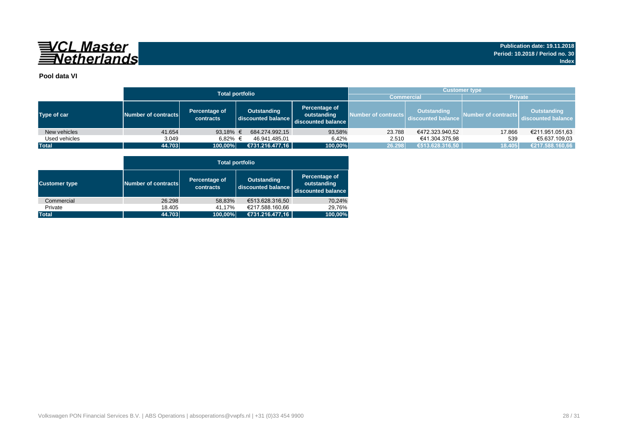

### **Pool data VI**

|               |                     | <b>Total portfolio</b>     | <b>Customer type</b>              |                                                    |                     |                                          |                     |                                          |  |  |  |  |
|---------------|---------------------|----------------------------|-----------------------------------|----------------------------------------------------|---------------------|------------------------------------------|---------------------|------------------------------------------|--|--|--|--|
|               |                     |                            | <b>Commercial</b>                 |                                                    | <b>Private</b>      |                                          |                     |                                          |  |  |  |  |
| Type of car   | Number of contracts | Percentage of<br>contracts | Outstanding<br>discounted balance | Percentage of<br>outstanding<br>discounted balance | Number of contracts | <b>Outstanding</b><br>discounted balance | Number of contracts | <b>Outstanding</b><br>discounted balance |  |  |  |  |
| New vehicles  | 41.654              | 93,18% $\in$               | 684.274.992.15                    | 93,58%                                             | 23.788              | €472.323.940,52                          | 17.866              | €211.951.051,63                          |  |  |  |  |
| Used vehicles | 3.049               | 6.82% €                    | 46.941.485.01                     | 6.42%                                              | 2.510               | €41.304.375.98                           | 539                 | €5.637.109.03                            |  |  |  |  |
| <b>Total</b>  | 44.703              | 100,00%                    | €731.216.477,16                   | 100,00%                                            | 26.298              | €513.628.316,50                          | 18.405              | €217.588.160,66                          |  |  |  |  |

|                      |                     | <b>Total portfolio</b>     |                                          |                                                    |  |  |  |  |  |  |  |  |  |
|----------------------|---------------------|----------------------------|------------------------------------------|----------------------------------------------------|--|--|--|--|--|--|--|--|--|
| <b>Customer type</b> | Number of contracts | Percentage of<br>contracts | <b>Outstanding</b><br>discounted balance | Percentage of<br>outstanding<br>discounted balance |  |  |  |  |  |  |  |  |  |
| Commercial           | 26.298              | 58,83%                     | €513.628.316.50                          | 70,24%                                             |  |  |  |  |  |  |  |  |  |
| Private              | 18.405              | 41,17%                     | €217.588.160.66                          | 29.76%                                             |  |  |  |  |  |  |  |  |  |
| <b>Total</b>         | 44.703              | 100,00%                    | €731.216.477,16                          | 100,00%                                            |  |  |  |  |  |  |  |  |  |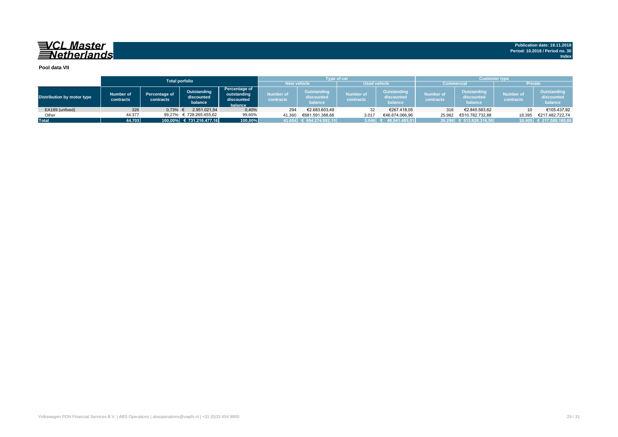#### **Pool data VII**

|                            |                        |                            | <b>Total porfolio</b>                |                                                       |                               | <b>Type of car</b>                          |                               |                                      | <b>Customer type</b>   |                                      |                               |                                      |  |  |  |
|----------------------------|------------------------|----------------------------|--------------------------------------|-------------------------------------------------------|-------------------------------|---------------------------------------------|-------------------------------|--------------------------------------|------------------------|--------------------------------------|-------------------------------|--------------------------------------|--|--|--|
|                            |                        |                            |                                      |                                                       |                               | <b>New vehicle</b>                          | <b>Used vehicle</b>           |                                      | <b>Commercial</b>      |                                      | <b>Private</b>                |                                      |  |  |  |
| Distribution by motor type | Number of<br>contracts | Percentage of<br>contracts | Outstanding<br>discounted<br>balance | Percentage of<br>outstanding<br>discounted<br>balance | Number of<br><b>contracts</b> | <b>Outstanding</b><br>discounted<br>balance | <b>Number of</b><br>contracts | Outstanding<br>discounted<br>balance | Number of<br>contracts | Outstanding<br>discounted<br>balance | <b>Number of</b><br>contracts | Outstanding<br>discounted<br>balance |  |  |  |
| EA189 (unfixed)            | 326                    | 0,73%                      | 2.951.021.54                         | 0,40%                                                 | 294                           | €2.683.603.49                               | 32                            | €267.418,05                          | 316                    | €2.845.583,62                        | 10                            | €105.437,92                          |  |  |  |
| Other                      | 44.377                 | 99.27%                     | € 728.265.455.62                     | 99,60%                                                | 41.360                        | €681.591.388,66                             | 3.017                         | €46.674.066,96                       | 25.982                 | €510.782.732.88                      | 18.395                        | €217.482.722.74                      |  |  |  |
| <b>Total</b>               | 14.703                 |                            | 100.00% € 731.216.477.16             | 100,00%                                               |                               | 41.654 € 684.274.992,15                     | 3.049                         | 46.941.485.01                        |                        | 26.298 € 513.628.316,50              |                               | 18.405 € 217.588.160,66              |  |  |  |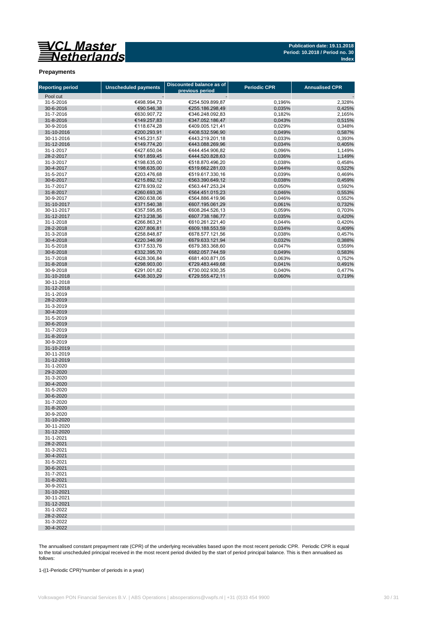**Publication date: 19.11.2018 Period: 10.2018 / Period no. 30 Index**

#### **Prepayments**

| <b>Reporting period</b>  | <b>Unscheduled payments</b> | Discounted balance as of<br>previous period | <b>Periodic CPR</b> | <b>Annualised CPR</b> |
|--------------------------|-----------------------------|---------------------------------------------|---------------------|-----------------------|
| Pool cut                 |                             |                                             |                     |                       |
| 31-5-2016                | €498.994,73                 | €254.509.899,87                             | 0,196%              | 2,328%                |
| 30-6-2016                | €90.546,38                  | €255.186.298,49                             | 0,035%              | 0,425%                |
| 31-7-2016                | €630.907,72                 | €346.248.092,83                             | 0,182%              | 2,165%                |
| 31-8-2016                | €149.257,83                 | €347.052.186,47                             | 0,043%              | 0,515%                |
| 30-9-2016                | €118.674,28                 | €409.005.121,41                             | 0,029%              | 0,348%                |
| 31-10-2016               | €200.293,91                 | €408.532.596,90                             | 0,049%              | 0,587%                |
| 30-11-2016               | €145.231,57                 | €443.219.201,18                             | 0,033%              | 0,393%                |
| 31-12-2016               | €149.774,20                 | €443.088.269,96                             | 0,034%              | 0,405%                |
| 31-1-2017                | €427.650,04                 | €444.454.906,82                             | 0,096%              | 1,149%                |
| 28-2-2017                | €161.859,45                 | €444.520.828,63                             | 0,036%              | 1,149%                |
| 31-3-2017                | €198.635,00                 | €518.870.496,20                             | 0,038%              | 0,458%                |
| 30-4-2017                | €198.635,00                 | €519.662.281,03                             | 0,044%              | 0,522%                |
| 31-5-2017                | €203.476,68                 | €519.617.330,16                             | 0,039%              | 0,469%                |
| 30-6-2017                | €215.892,12                 | €563.390.649,12                             | 0,038%              | 0,459%                |
| 31-7-2017                | €278.939,02                 | €563.447.253,24                             | 0,050%              | 0,592%                |
| 31-8-2017                | €260.693,26                 | €564.451.015,23                             | 0,046%              | 0,553%                |
| 30-9-2017                | €260.638,06                 | €564.886.419,96                             | 0,046%              | 0,552%                |
| 31-10-2017               | €371.540,38                 | €607.195.061,29                             | 0,061%              | 0,732%                |
| 30-11-2017               | €357.595,85                 | €608.264.526,13                             | 0,059%              | 0,703%                |
| 31-12-2017               | €213.238,36                 | €607.738.186,77                             | 0,035%              | 0,420%                |
| 31-1-2018                | €266.863,21                 | €610.261.221,40                             | 0,044%              | 0,420%                |
| 28-2-2018                | €207.806,81                 | €609.188.553,59                             | 0,034%              | 0,409%                |
| 31-3-2018                | €258.848,87                 | €678.577.121,56                             | 0,038%              | 0,457%                |
| 30-4-2018                | €220.346,99                 | €679.633.121,94                             | 0,032%              | 0,388%                |
| 31-5-2018                | €317.533,76                 | €679.383.368,60                             | 0,047%              | 0,559%                |
| 30-6-2018                | €332.395,70                 | €682.057.744,59                             | 0,049%              | 0,583%                |
| 31-7-2018                | €428.306,84                 | €681.400.871,05                             | 0,063%              | 0,752%                |
| 31-8-2018                | €298.903,00                 | €729.483.449,68                             | 0,041%              | 0,491%                |
| 30-9-2018                | €291.001,82                 | €730.002.930,35                             | 0,040%              | 0,477%                |
| 31-10-2018               | €438.303,29                 | €729.555.472,11                             | 0,060%              | 0,719%                |
| 30-11-2018<br>31-12-2018 |                             |                                             |                     |                       |
|                          |                             |                                             |                     |                       |
| 31-1-2019                |                             |                                             |                     |                       |
| 28-2-2019                |                             |                                             |                     |                       |
| 31-3-2019                |                             |                                             |                     |                       |
| 30-4-2019<br>31-5-2019   |                             |                                             |                     |                       |
| 30-6-2019                |                             |                                             |                     |                       |
| 31-7-2019                |                             |                                             |                     |                       |
| 31-8-2019                |                             |                                             |                     |                       |
| 30-9-2019                |                             |                                             |                     |                       |
| 31-10-2019               |                             |                                             |                     |                       |
| 30-11-2019               |                             |                                             |                     |                       |
| 31-12-2019               |                             |                                             |                     |                       |
| 31-1-2020                |                             |                                             |                     |                       |
| 29-2-2020                |                             |                                             |                     |                       |
| 31-3-2020                |                             |                                             |                     |                       |
| 30-4-2020                |                             |                                             |                     |                       |
| 31-5-2020                |                             |                                             |                     |                       |
| 30-6-2020                |                             |                                             |                     |                       |
| 31-7-2020                |                             |                                             |                     |                       |
| 31-8-2020                |                             |                                             |                     |                       |
| 30-9-2020                |                             |                                             |                     |                       |
| 31-10-2020               |                             |                                             |                     |                       |
| 30-11-2020               |                             |                                             |                     |                       |
| 31-12-2020               |                             |                                             |                     |                       |
| 31-1-2021                |                             |                                             |                     |                       |
| 28-2-2021                |                             |                                             |                     |                       |
| 31-3-2021                |                             |                                             |                     |                       |
| 30-4-2021                |                             |                                             |                     |                       |
| 31-5-2021                |                             |                                             |                     |                       |
| 30-6-2021                |                             |                                             |                     |                       |
| 31-7-2021                |                             |                                             |                     |                       |
| 31-8-2021                |                             |                                             |                     |                       |
| 30-9-2021                |                             |                                             |                     |                       |
| 31-10-2021               |                             |                                             |                     |                       |
| 30-11-2021               |                             |                                             |                     |                       |
| 31-12-2021               |                             |                                             |                     |                       |
| 31-1-2022                |                             |                                             |                     |                       |
| 28-2-2022                |                             |                                             |                     |                       |
| 31-3-2022                |                             |                                             |                     |                       |
| 30-4-2022                |                             |                                             |                     |                       |

The annualised constant prepayment rate (CPR) of the underlying receivables based upon the most recent periodic CPR. Periodic CPR is equal to the total unscheduled principal received in the most recent period divided by the start of period principal balance. This is then annualised as follows:

1-((1-Periodic CPR)^number of periods in a year)